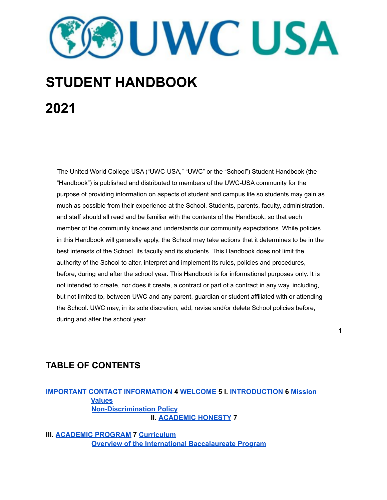**DUWCUSA** 

# **STUDENT HANDBOOK 2021**

The United World College USA ("UWC-USA," "UWC" or the "School") Student Handbook (the "Handbook") is published and distributed to members of the UWC-USA community for the purpose of providing information on aspects of student and campus life so students may gain as much as possible from their experience at the School. Students, parents, faculty, administration, and staff should all read and be familiar with the contents of the Handbook, so that each member of the community knows and understands our community expectations. While policies in this Handbook will generally apply, the School may take actions that it determines to be in the best interests of the School, its faculty and its students. This Handbook does not limit the authority of the School to alter, interpret and implement its rules, policies and procedures, before, during and after the school year. This Handbook is for informational purposes only. It is not intended to create, nor does it create, a contract or part of a contract in any way, including, but not limited to, between UWC and any parent, guardian or student affiliated with or attending the School. UWC may, in its sole discretion, add, revise and/or delete School policies before, during and after the school year.

**1**

# **TABLE OF CONTENTS**

## **IMPORTANT CONTACT INFORMATION 4 WELCOME 5 I. INTRODUCTION 6 Mission Values Non-Discrimination Policy II. ACADEMIC HONESTY 7**

**III. ACADEMIC PROGRAM 7 Curriculum Overview of the International Baccalaureate Program**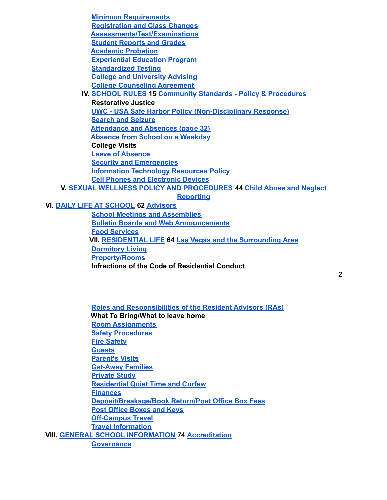**Minimum Requirements Registration and Class Changes Assessments/Test/Examinations Student Reports and Grades Academic Probation Experiential Education Program Standardized Testing College and University Advising College Counseling Agreement IV. SCHOOL RULES 15 Community Standards - Policy & Procedures Restorative Justice UWC - USA Safe Harbor Policy (Non-Disciplinary Response) Search and Seizure Attendance and Absences (page 32) Absence from School on a Weekday College Visits Leave of Absence Security and Emergencies Information Technology Resources Policy Cell Phones and Electronic Devices V. SEXUAL WELLNESS POLICY AND PROCEDURES 44 Child Abuse and Neglect**

**Reporting**

**VI. DAILY LIFE AT SCHOOL 62 Advisors**

**School Meetings and Assemblies Bulletin Boards and Web Announcements Food Services VII. RESIDENTIAL LIFE 64 Las Vegas and the Surrounding Area Dormitory Living Property/Rooms Infractions of the Code of Residential Conduct**

**Roles and Responsibilities of the Resident Advisors (RAs) What To Bring/What to leave home Room Assignments Safety Procedures Fire Safety Guests Parent's Visits Get-Away Families Private Study Residential Quiet Time and Curfew Finances Deposit/Breakage/Book Return/Post Office Box Fees Post Office Boxes and Keys Off-Campus Travel Travel Information VIII. GENERAL SCHOOL INFORMATION 74 Accreditation Governance**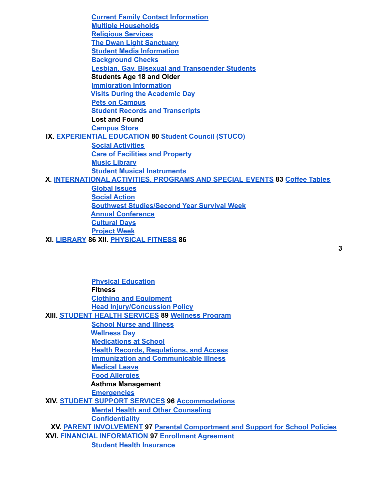| <b>Current Family Contact Information</b>                                 |  |  |  |  |
|---------------------------------------------------------------------------|--|--|--|--|
| <b>Multiple Households</b>                                                |  |  |  |  |
| <b>Religious Services</b>                                                 |  |  |  |  |
| <b>The Dwan Light Sanctuary</b>                                           |  |  |  |  |
| <b>Student Media Information</b>                                          |  |  |  |  |
| <b>Background Checks</b>                                                  |  |  |  |  |
| <b>Lesbian, Gay, Bisexual and Transgender Students</b>                    |  |  |  |  |
| <b>Students Age 18 and Older</b>                                          |  |  |  |  |
| <b>Immigration Information</b>                                            |  |  |  |  |
| <b>Visits During the Academic Day</b>                                     |  |  |  |  |
| <b>Pets on Campus</b>                                                     |  |  |  |  |
| <b>Student Records and Transcripts</b>                                    |  |  |  |  |
| <b>Lost and Found</b>                                                     |  |  |  |  |
| <b>Campus Store</b>                                                       |  |  |  |  |
| IX. EXPERIENTIAL EDUCATION 80 Student Council (STUCO)                     |  |  |  |  |
| <b>Social Activities</b>                                                  |  |  |  |  |
| <b>Care of Facilities and Property</b>                                    |  |  |  |  |
| <b>Music Library</b>                                                      |  |  |  |  |
| <b>Student Musical Instruments</b>                                        |  |  |  |  |
| X. INTERNATIONAL ACTIVITIES, PROGRAMS AND SPECIAL EVENTS 83 Coffee Tables |  |  |  |  |
| <b>Global Issues</b>                                                      |  |  |  |  |
| <b>Social Action</b>                                                      |  |  |  |  |
| <b>Southwest Studies/Second Year Survival Week</b>                        |  |  |  |  |
| <b>Annual Conference</b>                                                  |  |  |  |  |
| <b>Cultural Days</b>                                                      |  |  |  |  |
| <b>Project Week</b>                                                       |  |  |  |  |
| XI. LIBRARY 86 XII. PHYSICAL FITNESS 86                                   |  |  |  |  |

| <b>Physical Education</b>                                                      |
|--------------------------------------------------------------------------------|
| <b>Fitness</b>                                                                 |
| <b>Clothing and Equipment</b>                                                  |
| <b>Head Injury/Concussion Policy</b>                                           |
| XIII. STUDENT HEALTH SERVICES 89 Wellness Program                              |
| <b>School Nurse and Illness</b>                                                |
| <b>Wellness Day</b>                                                            |
| <b>Medications at School</b>                                                   |
| <b>Health Records, Regulations, and Access</b>                                 |
| <b>Immunization and Communicable Illness</b>                                   |
| <b>Medical Leave</b>                                                           |
| <b>Food Allergies</b>                                                          |
| <b>Asthma Management</b>                                                       |
| <b>Emergencies</b>                                                             |
| XIV. STUDENT SUPPORT SERVICES 96 Accommodations                                |
| <b>Mental Health and Other Counseling</b>                                      |
| <b>Confidentiality</b>                                                         |
| XV. PARENT INVOLVEMENT 97 Parental Comportment and Support for School Policies |
| <b>XVI. FINANCIAL INFORMATION 97 Enrollment Agreement</b>                      |
| <b>Student Health Insurance</b>                                                |
|                                                                                |

**3**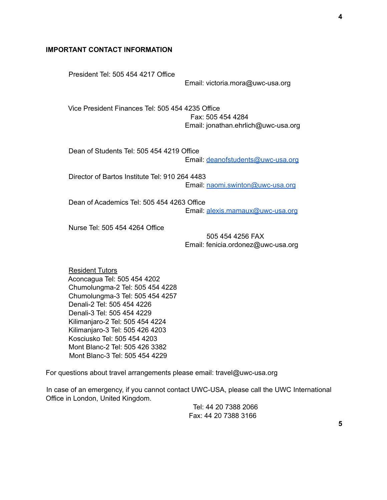#### **IMPORTANT CONTACT INFORMATION**

President Tel: 505 454 4217 Office Email: victoria.mora@uwc-usa.org Vice President Finances Tel: 505 454 4235 Office Fax: 505 454 4284 Email: jonathan.ehrlich@uwc-usa.org Dean of Students Tel: 505 454 4219 Office Email: deanofstudents@uwc-usa.org Director of Bartos Institute Tel: 910 264 4483 Email: naomi.swinton@uwc-usa.org Dean of Academics Tel: 505 454 4263 Office Email: alexis.mamaux@uwc-usa.org Nurse Tel: 505 454 4264 Office

> 505 454 4256 FAX Email: fenicia.ordonez@uwc-usa.org

Resident Tutors Aconcagua Tel: 505 454 4202 Chumolungma-2 Tel: 505 454 4228 Chumolungma-3 Tel: 505 454 4257 Denali-2 Tel: 505 454 4226 Denali-3 Tel: 505 454 4229 Kilimanjaro-2 Tel: 505 454 4224 Kilimanjaro-3 Tel: 505 426 4203 Kosciusko Tel: 505 454 4203 Mont Blanc-2 Tel: 505 426 3382 Mont Blanc-3 Tel: 505 454 4229

For questions about travel arrangements please email: travel@uwc-usa.org

In case of an emergency, if you cannot contact UWC-USA, please call the UWC International Office in London, United Kingdom.

> Tel: 44 20 7388 2066 Fax: 44 20 7388 3166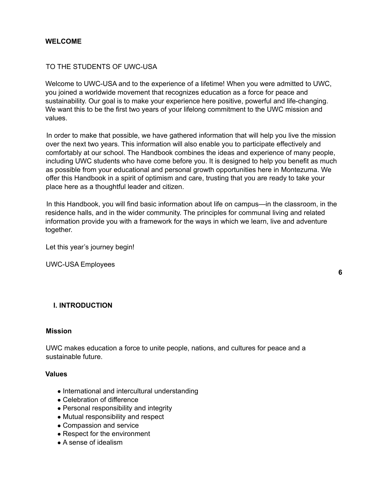#### **WELCOME**

#### TO THE STUDENTS OF UWC-USA

Welcome to UWC-USA and to the experience of a lifetime! When you were admitted to UWC, you joined a worldwide movement that recognizes education as a force for peace and sustainability. Our goal is to make your experience here positive, powerful and life-changing. We want this to be the first two years of your lifelong commitment to the UWC mission and values.

In order to make that possible, we have gathered information that will help you live the mission over the next two years. This information will also enable you to participate effectively and comfortably at our school. The Handbook combines the ideas and experience of many people, including UWC students who have come before you. It is designed to help you benefit as much as possible from your educational and personal growth opportunities here in Montezuma. We offer this Handbook in a spirit of optimism and care, trusting that you are ready to take your place here as a thoughtful leader and citizen.

In this Handbook, you will find basic information about life on campus—in the classroom, in the residence halls, and in the wider community. The principles for communal living and related information provide you with a framework for the ways in which we learn, live and adventure together.

Let this year's journey begin!

UWC-USA Employees

**6**

## **I. INTRODUCTION**

#### **Mission**

UWC makes education a force to unite people, nations, and cultures for peace and a sustainable future.

#### **Values**

- International and intercultural understanding
- Celebration of difference
- Personal responsibility and integrity
- Mutual responsibility and respect
- Compassion and service
- Respect for the environment
- A sense of idealism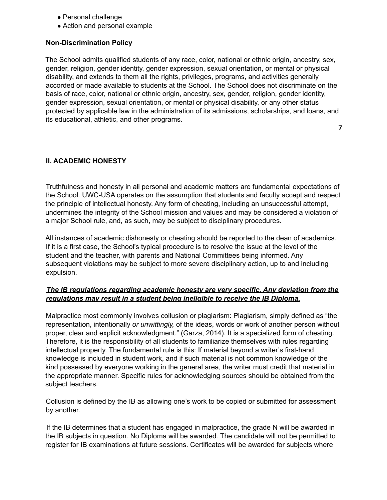- Personal challenge
- Action and personal example

#### **Non-Discrimination Policy**

The School admits qualified students of any race, color, national or ethnic origin, ancestry, sex, gender, religion, gender identity, gender expression, sexual orientation, or mental or physical disability, and extends to them all the rights, privileges, programs, and activities generally accorded or made available to students at the School. The School does not discriminate on the basis of race, color, national or ethnic origin, ancestry, sex, gender, religion, gender identity, gender expression, sexual orientation, or mental or physical disability, or any other status protected by applicable law in the administration of its admissions, scholarships, and loans, and its educational, athletic, and other programs.

**7**

## **II. ACADEMIC HONESTY**

Truthfulness and honesty in all personal and academic matters are fundamental expectations of the School. UWC-USA operates on the assumption that students and faculty accept and respect the principle of intellectual honesty. Any form of cheating, including an unsuccessful attempt, undermines the integrity of the School mission and values and may be considered a violation of a major School rule, and, as such, may be subject to disciplinary procedures.

All instances of academic dishonesty or cheating should be reported to the dean of academics. If it is a first case, the School's typical procedure is to resolve the issue at the level of the student and the teacher, with parents and National Committees being informed. Any subsequent violations may be subject to more severe disciplinary action, up to and including expulsion.

# *The IB regulations regarding academic honesty are very specific. Any deviation from the regulations may result in a student being ineligible to receive the IB Diploma.*

Malpractice most commonly involves collusion or plagiarism: Plagiarism, simply defined as "the representation, intentionally *or unwittingly,* of the ideas, words or work of another person without proper, clear and explicit acknowledgment." (Garza, 2014). It is a specialized form of cheating. Therefore, it is the responsibility of all students to familiarize themselves with rules regarding intellectual property. The fundamental rule is this: If material beyond a writer's first-hand knowledge is included in student work, and if such material is not common knowledge of the kind possessed by everyone working in the general area, the writer must credit that material in the appropriate manner. Specific rules for acknowledging sources should be obtained from the subject teachers.

Collusion is defined by the IB as allowing one's work to be copied or submitted for assessment by another.

If the IB determines that a student has engaged in malpractice, the grade N will be awarded in the IB subjects in question. No Diploma will be awarded. The candidate will not be permitted to register for IB examinations at future sessions. Certificates will be awarded for subjects where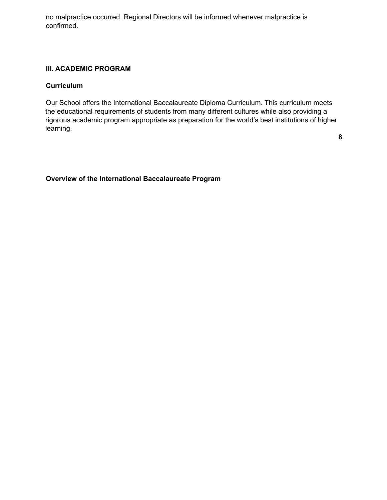no malpractice occurred. Regional Directors will be informed whenever malpractice is confirmed.

#### **III. ACADEMIC PROGRAM**

#### **Curriculum**

Our School offers the International Baccalaureate Diploma Curriculum. This curriculum meets the educational requirements of students from many different cultures while also providing a rigorous academic program appropriate as preparation for the world's best institutions of higher learning.

**8**

# **Overview of the International Baccalaureate Program**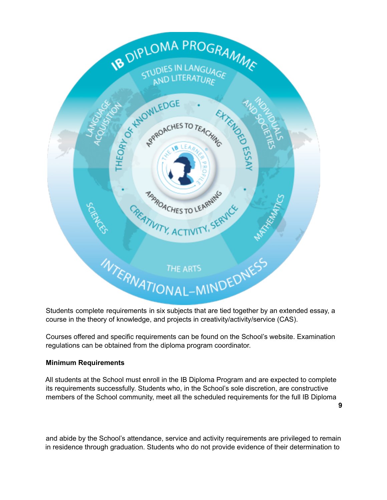

Students complete requirements in six subjects that are tied together by an extended essay, a course in the theory of knowledge, and projects in creativity/activity/service (CAS).

Courses offered and specific requirements can be found on the School's website. Examination regulations can be obtained from the diploma program coordinator.

## **Minimum Requirements**

All students at the School must enroll in the IB Diploma Program and are expected to complete its requirements successfully. Students who, in the School's sole discretion, are constructive members of the School community, meet all the scheduled requirements for the full IB Diploma

**9**

and abide by the School's attendance, service and activity requirements are privileged to remain in residence through graduation. Students who do not provide evidence of their determination to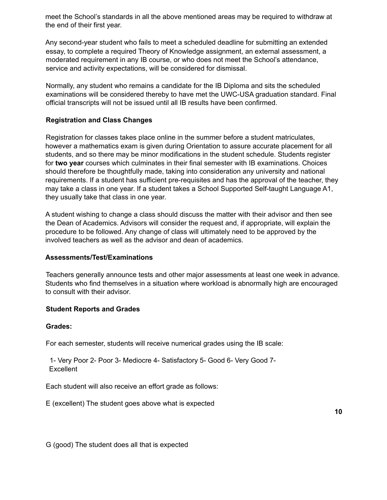meet the School's standards in all the above mentioned areas may be required to withdraw at the end of their first year.

Any second-year student who fails to meet a scheduled deadline for submitting an extended essay, to complete a required Theory of Knowledge assignment, an external assessment, a moderated requirement in any IB course, or who does not meet the School's attendance, service and activity expectations, will be considered for dismissal.

Normally, any student who remains a candidate for the IB Diploma and sits the scheduled examinations will be considered thereby to have met the UWC-USA graduation standard. Final official transcripts will not be issued until all IB results have been confirmed.

# **Registration and Class Changes**

Registration for classes takes place online in the summer before a student matriculates, however a mathematics exam is given during Orientation to assure accurate placement for all students, and so there may be minor modifications in the student schedule. Students register for **two year** courses which culminates in their final semester with IB examinations. Choices should therefore be thoughtfully made, taking into consideration any university and national requirements. If a student has sufficient pre-requisites and has the approval of the teacher, they may take a class in one year. If a student takes a School Supported Self-taught Language A1, they usually take that class in one year.

A student wishing to change a class should discuss the matter with their advisor and then see the Dean of Academics. Advisors will consider the request and, if appropriate, will explain the procedure to be followed. Any change of class will ultimately need to be approved by the involved teachers as well as the advisor and dean of academics.

#### **Assessments/Test/Examinations**

Teachers generally announce tests and other major assessments at least one week in advance. Students who find themselves in a situation where workload is abnormally high are encouraged to consult with their advisor.

## **Student Reports and Grades**

#### **Grades:**

For each semester, students will receive numerical grades using the IB scale:

1- Very Poor 2- Poor 3- Mediocre 4- Satisfactory 5- Good 6- Very Good 7- **Excellent** 

Each student will also receive an effort grade as follows:

E (excellent) The student goes above what is expected

G (good) The student does all that is expected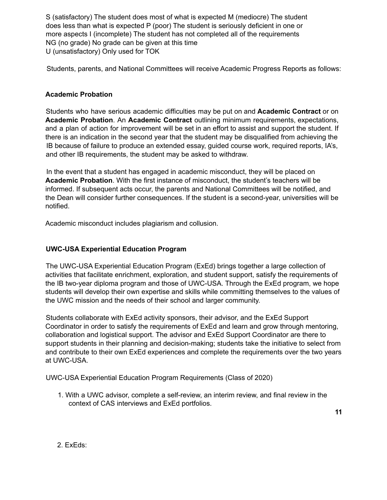S (satisfactory) The student does most of what is expected M (mediocre) The student does less than what is expected P (poor) The student is seriously deficient in one or more aspects I (incomplete) The student has not completed all of the requirements NG (no grade) No grade can be given at this time U (unsatisfactory) Only used for TOK

Students, parents, and National Committees will receive Academic Progress Reports as follows:

# **Academic Probation**

Students who have serious academic difficulties may be put on and **Academic Contract** or on **Academic Probation**. An **Academic Contract** outlining minimum requirements, expectations, and a plan of action for improvement will be set in an effort to assist and support the student. If there is an indication in the second year that the student may be disqualified from achieving the IB because of failure to produce an extended essay, guided course work, required reports, IA's, and other IB requirements, the student may be asked to withdraw.

In the event that a student has engaged in academic misconduct, they will be placed on **Academic Probation**. With the first instance of misconduct, the student's teachers will be informed. If subsequent acts occur, the parents and National Committees will be notified, and the Dean will consider further consequences. If the student is a second-year, universities will be notified.

Academic misconduct includes plagiarism and collusion.

## **UWC-USA Experiential Education Program**

The UWC-USA Experiential Education Program (ExEd) brings together a large collection of activities that facilitate enrichment, exploration, and student support, satisfy the requirements of the IB two-year diploma program and those of UWC-USA. Through the ExEd program, we hope students will develop their own expertise and skills while committing themselves to the values of the UWC mission and the needs of their school and larger community.

Students collaborate with ExEd activity sponsors, their advisor, and the ExEd Support Coordinator in order to satisfy the requirements of ExEd and learn and grow through mentoring, collaboration and logistical support. The advisor and ExEd Support Coordinator are there to support students in their planning and decision-making; students take the initiative to select from and contribute to their own ExEd experiences and complete the requirements over the two years at UWC-USA.

UWC-USA Experiential Education Program Requirements (Class of 2020)

1. With a UWC advisor, complete a self-review, an interim review, and final review in the context of CAS interviews and ExEd portfolios.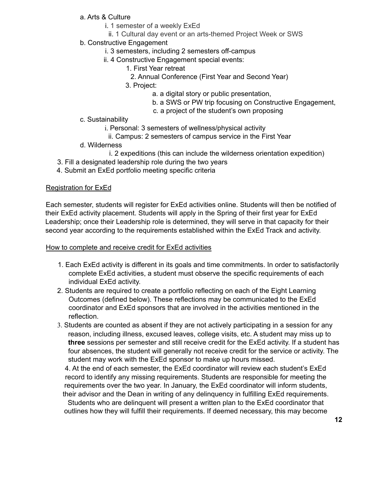# a. Arts & Culture

- i. 1 semester of a weekly ExEd
- ii. 1 Cultural day event or an arts-themed Project Week or SWS

# b. Constructive Engagement

- i. 3 semesters, including 2 semesters off-campus
- ii. 4 Constructive Engagement special events:
	- 1. First Year retreat
		- 2. Annual Conference (First Year and Second Year)
	- 3. Project:
		- a. a digital story or public presentation,
		- b. a SWS or PW trip focusing on Constructive Engagement,
		- c. a project of the student's own proposing
- c. Sustainability
	- i. Personal: 3 semesters of wellness/physical activity
	- ii. Campus: 2 semesters of campus service in the First Year
- d. Wilderness
	- i. 2 expeditions (this can include the wilderness orientation expedition)
- 3. Fill a designated leadership role during the two years
- 4. Submit an ExEd portfolio meeting specific criteria

## Registration for ExEd

Each semester, students will register for ExEd activities online. Students will then be notified of their ExEd activity placement. Students will apply in the Spring of their first year for ExEd Leadership; once their Leadership role is determined, they will serve in that capacity for their second year according to the requirements established within the ExEd Track and activity.

#### How to complete and receive credit for ExEd activities

- 1. Each ExEd activity is different in its goals and time commitments. In order to satisfactorily complete ExEd activities, a student must observe the specific requirements of each individual ExEd activity.
- 2. Students are required to create a portfolio reflecting on each of the Eight Learning Outcomes (defined below). These reflections may be communicated to the ExEd coordinator and ExEd sponsors that are involved in the activities mentioned in the reflection.
- 3. Students are counted as absent if they are not actively participating in a session for any reason, including illness, excused leaves, college visits, etc. A student may miss up to **three** sessions per semester and still receive credit for the ExEd activity. If a student has four absences, the student will generally not receive credit for the service or activity. The student may work with the ExEd sponsor to make up hours missed.

4. At the end of each semester, the ExEd coordinator will review each student's ExEd record to identify any missing requirements. Students are responsible for meeting the requirements over the two year. In January, the ExEd coordinator will inform students, their advisor and the Dean in writing of any delinquency in fulfilling ExEd requirements.

Students who are delinquent will present a written plan to the ExEd coordinator that outlines how they will fulfill their requirements. If deemed necessary, this may become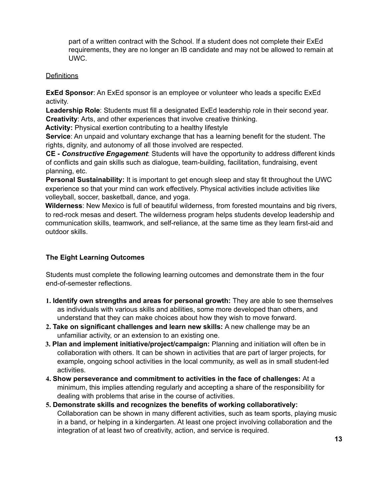part of a written contract with the School. If a student does not complete their ExEd requirements, they are no longer an IB candidate and may not be allowed to remain at UWC.

## **Definitions**

**ExEd Sponsor**: An ExEd sponsor is an employee or volunteer who leads a specific ExEd activity.

**Leadership Role**: Students must fill a designated ExEd leadership role in their second year. **Creativity**: Arts, and other experiences that involve creative thinking.

**Activity:** Physical exertion contributing to a healthy lifestyle

**Service**: An unpaid and voluntary exchange that has a learning benefit for the student. The rights, dignity, and autonomy of all those involved are respected.

**CE -** *Constructive Engagement*: Students will have the opportunity to address different kinds of conflicts and gain skills such as dialogue, team-building, facilitation, fundraising, event planning, etc.

**Personal Sustainability:** It is important to get enough sleep and stay fit throughout the UWC experience so that your mind can work effectively. Physical activities include activities like volleyball, soccer, basketball, dance, and yoga.

**Wilderness**: New Mexico is full of beautiful wilderness, from forested mountains and big rivers, to red-rock mesas and desert. The wilderness program helps students develop leadership and communication skills, teamwork, and self-reliance, at the same time as they learn first-aid and outdoor skills.

# **The Eight Learning Outcomes**

Students must complete the following learning outcomes and demonstrate them in the four end-of-semester reflections.

- **1. Identify own strengths and areas for personal growth:** They are able to see themselves as individuals with various skills and abilities, some more developed than others, and understand that they can make choices about how they wish to move forward.
- **2. Take on significant challenges and learn new skills:** A new challenge may be an unfamiliar activity, or an extension to an existing one.
- **3. Plan and implement initiative/project/campaign:** Planning and initiation will often be in collaboration with others. It can be shown in activities that are part of larger projects, for example, ongoing school activities in the local community, as well as in small student-led activities.
- **4. Show perseverance and commitment to activities in the face of challenges:** At a minimum, this implies attending regularly and accepting a share of the responsibility for dealing with problems that arise in the course of activities.
- **5. Demonstrate skills and recognizes the benefits of working collaboratively:** Collaboration can be shown in many different activities, such as team sports, playing music in a band, or helping in a kindergarten. At least one project involving collaboration and the integration of at least two of creativity, action, and service is required.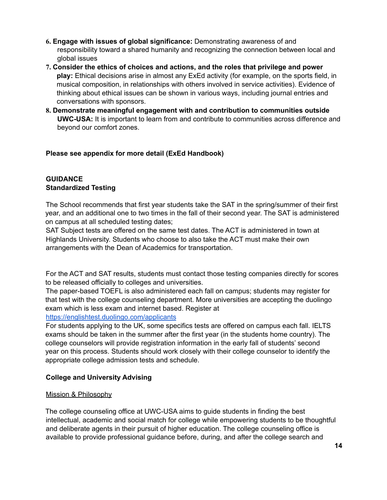- **6. Engage with issues of global significance:** Demonstrating awareness of and responsibility toward a shared humanity and recognizing the connection between local and global issues
- **7. Consider the ethics of choices and actions, and the roles that privilege and power play:** Ethical decisions arise in almost any ExEd activity (for example, on the sports field, in musical composition, in relationships with others involved in service activities). Evidence of thinking about ethical issues can be shown in various ways, including journal entries and conversations with sponsors.
- **8. Demonstrate meaningful engagement with and contribution to communities outside UWC-USA:** It is important to learn from and contribute to communities across difference and beyond our comfort zones.

# **Please see appendix for more detail (ExEd Handbook)**

# **GUIDANCE Standardized Testing**

The School recommends that first year students take the SAT in the spring/summer of their first year, and an additional one to two times in the fall of their second year. The SAT is administered on campus at all scheduled testing dates;

SAT Subject tests are offered on the same test dates. The ACT is administered in town at Highlands University. Students who choose to also take the ACT must make their own arrangements with the Dean of Academics for transportation.

For the ACT and SAT results, students must contact those testing companies directly for scores to be released officially to colleges and universities.

The paper-based TOEFL is also administered each fall on campus; students may register for that test with the college counseling department. More universities are accepting the duolingo exam which is less exam and internet based. Register at

## https://englishtest.duolingo.com/applicants

For students applying to the UK, some specifics tests are offered on campus each fall. IELTS exams should be taken in the summer after the first year (in the students home country). The college counselors will provide registration information in the early fall of students' second year on this process. Students should work closely with their college counselor to identify the appropriate college admission tests and schedule.

# **College and University Advising**

## Mission & Philosophy

The college counseling office at UWC-USA aims to guide students in finding the best intellectual, academic and social match for college while empowering students to be thoughtful and deliberate agents in their pursuit of higher education. The college counseling office is available to provide professional guidance before, during, and after the college search and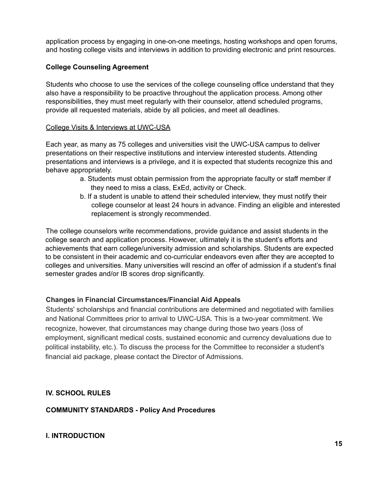application process by engaging in one-on-one meetings, hosting workshops and open forums, and hosting college visits and interviews in addition to providing electronic and print resources.

# **College Counseling Agreement**

Students who choose to use the services of the college counseling office understand that they also have a responsibility to be proactive throughout the application process. Among other responsibilities, they must meet regularly with their counselor, attend scheduled programs, provide all requested materials, abide by all policies, and meet all deadlines.

## College Visits & Interviews at UWC-USA

Each year, as many as 75 colleges and universities visit the UWC-USA campus to deliver presentations on their respective institutions and interview interested students. Attending presentations and interviews is a privilege, and it is expected that students recognize this and behave appropriately.

- a. Students must obtain permission from the appropriate faculty or staff member if they need to miss a class, ExEd, activity or Check.
- b. If a student is unable to attend their scheduled interview, they must notify their college counselor at least 24 hours in advance. Finding an eligible and interested replacement is strongly recommended.

The college counselors write recommendations, provide guidance and assist students in the college search and application process. However, ultimately it is the student's efforts and achievements that earn college/university admission and scholarships. Students are expected to be consistent in their academic and co-curricular endeavors even after they are accepted to colleges and universities. Many universities will rescind an offer of admission if a student's final semester grades and/or IB scores drop significantly.

# **Changes in Financial Circumstances/Financial Aid Appeals**

Students' scholarships and financial contributions are determined and negotiated with families and National Committees prior to arrival to UWC-USA. This is a two-year commitment. We recognize, however, that circumstances may change during those two years (loss of employment, significant medical costs, sustained economic and currency devaluations due to political instability, etc.). To discuss the process for the Committee to reconsider a student's financial aid package, please contact the Director of Admissions.

# **IV. SCHOOL RULES**

**COMMUNITY STANDARDS - Policy And Procedures**

**I. INTRODUCTION**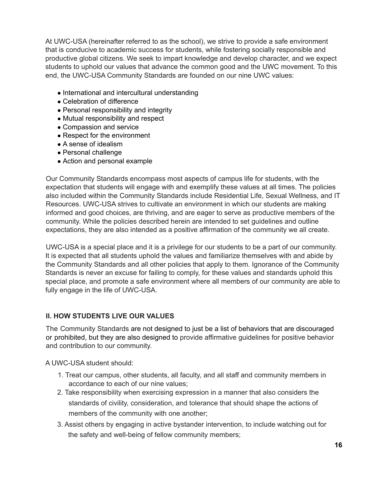At UWC-USA (hereinafter referred to as the school), we strive to provide a safe environment that is conducive to academic success for students, while fostering socially responsible and productive global citizens. We seek to impart knowledge and develop character, and we expect students to uphold our values that advance the common good and the UWC movement. To this end, the UWC-USA Community Standards are founded on our nine UWC values:

- International and intercultural understanding
- Celebration of difference
- Personal responsibility and integrity
- Mutual responsibility and respect
- Compassion and service
- Respect for the environment
- A sense of idealism
- Personal challenge
- Action and personal example

Our Community Standards encompass most aspects of campus life for students, with the expectation that students will engage with and exemplify these values at all times. The policies also included within the Community Standards include Residential Life, Sexual Wellness, and IT Resources. UWC-USA strives to cultivate an environment in which our students are making informed and good choices, are thriving, and are eager to serve as productive members of the community. While the policies described herein are intended to set guidelines and outline expectations, they are also intended as a positive affirmation of the community we all create.

UWC-USA is a special place and it is a privilege for our students to be a part of our community. It is expected that all students uphold the values and familiarize themselves with and abide by the Community Standards and all other policies that apply to them. Ignorance of the Community Standards is never an excuse for failing to comply, for these values and standards uphold this special place, and promote a safe environment where all members of our community are able to fully engage in the life of UWC-USA.

# **II. HOW STUDENTS LIVE OUR VALUES**

The Community Standards are not designed to just be a list of behaviors that are discouraged or prohibited, but they are also designed to provide affirmative guidelines for positive behavior and contribution to our community.

A UWC-USA student should:

- 1. Treat our campus, other students, all faculty, and all staff and community members in accordance to each of our nine values;
- 2. Take responsibility when exercising expression in a manner that also considers the standards of civility, consideration, and tolerance that should shape the actions of members of the community with one another;
- 3. Assist others by engaging in active bystander intervention, to include watching out for the safety and well-being of fellow community members;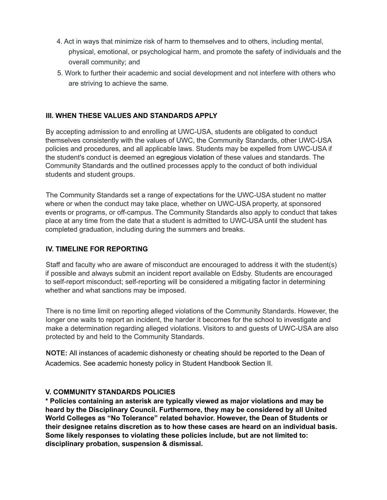- 4. Act in ways that minimize risk of harm to themselves and to others, including mental, physical, emotional, or psychological harm, and promote the safety of individuals and the overall community; and
- 5. Work to further their academic and social development and not interfere with others who are striving to achieve the same.

# **III. WHEN THESE VALUES AND STANDARDS APPLY**

By accepting admission to and enrolling at UWC-USA, students are obligated to conduct themselves consistently with the values of UWC, the Community Standards, other UWC-USA policies and procedures, and all applicable laws. Students may be expelled from UWC-USA if the student's conduct is deemed an egregious violation of these values and standards. The Community Standards and the outlined processes apply to the conduct of both individual students and student groups.

The Community Standards set a range of expectations for the UWC-USA student no matter where or when the conduct may take place, whether on UWC-USA property, at sponsored events or programs, or off-campus. The Community Standards also apply to conduct that takes place at any time from the date that a student is admitted to UWC-USA until the student has completed graduation, including during the summers and breaks.

## **IV. TIMELINE FOR REPORTING**

Staff and faculty who are aware of misconduct are encouraged to address it with the student(s) if possible and always submit an incident report available on Edsby. Students are encouraged to self-report misconduct; self-reporting will be considered a mitigating factor in determining whether and what sanctions may be imposed.

There is no time limit on reporting alleged violations of the Community Standards. However, the longer one waits to report an incident, the harder it becomes for the school to investigate and make a determination regarding alleged violations. Visitors to and guests of UWC-USA are also protected by and held to the Community Standards.

**NOTE:** All instances of academic dishonesty or cheating should be reported to the Dean of Academics. See academic honesty policy in Student Handbook Section II.

## **V. COMMUNITY STANDARDS POLICIES**

**\* Policies containing an asterisk are typically viewed as major violations and may be heard by the Disciplinary Council. Furthermore, they may be considered by all United World Colleges as "No Tolerance" related behavior. However, the Dean of Students or their designee retains discretion as to how these cases are heard on an individual basis. Some likely responses to violating these policies include, but are not limited to: disciplinary probation, suspension & dismissal.**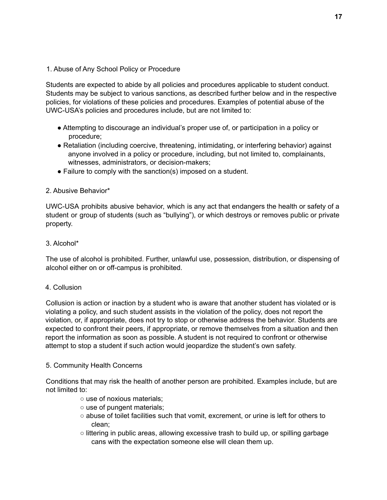1. Abuse of Any School Policy or Procedure

Students are expected to abide by all policies and procedures applicable to student conduct. Students may be subject to various sanctions, as described further below and in the respective policies, for violations of these policies and procedures. Examples of potential abuse of the UWC-USA's policies and procedures include, but are not limited to:

- Attempting to discourage an individual's proper use of, or participation in a policy or procedure;
- Retaliation (including coercive, threatening, intimidating, or interfering behavior) against anyone involved in a policy or procedure, including, but not limited to, complainants, witnesses, administrators, or decision-makers;
- Failure to comply with the sanction(s) imposed on a student.

## 2. Abusive Behavior\*

UWC-USA prohibits abusive behavior, which is any act that endangers the health or safety of a student or group of students (such as "bullying"), or which destroys or removes public or private property.

# 3. Alcohol\*

The use of alcohol is prohibited. Further, unlawful use, possession, distribution, or dispensing of alcohol either on or off-campus is prohibited.

## 4. Collusion

Collusion is action or inaction by a student who is aware that another student has violated or is violating a policy, and such student assists in the violation of the policy, does not report the violation, or, if appropriate, does not try to stop or otherwise address the behavior. Students are expected to confront their peers, if appropriate, or remove themselves from a situation and then report the information as soon as possible. A student is not required to confront or otherwise attempt to stop a student if such action would jeopardize the student's own safety.

## 5. Community Health Concerns

Conditions that may risk the health of another person are prohibited. Examples include, but are not limited to:

- use of noxious materials;
- use of pungent materials;
- abuse of toilet facilities such that vomit, excrement, or urine is left for others to clean;
- $\circ$  littering in public areas, allowing excessive trash to build up, or spilling garbage cans with the expectation someone else will clean them up.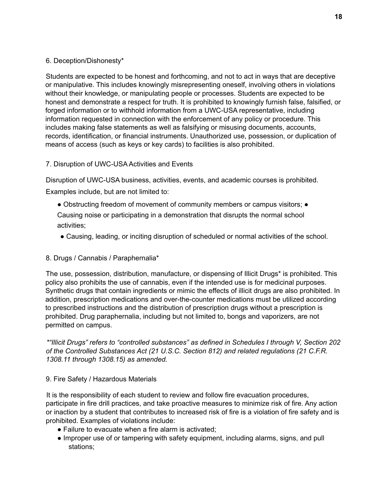# 6. Deception/Dishonesty\*

Students are expected to be honest and forthcoming, and not to act in ways that are deceptive or manipulative. This includes knowingly misrepresenting oneself, involving others in violations without their knowledge, or manipulating people or processes. Students are expected to be honest and demonstrate a respect for truth. It is prohibited to knowingly furnish false, falsified, or forged information or to withhold information from a UWC-USA representative, including information requested in connection with the enforcement of any policy or procedure. This includes making false statements as well as falsifying or misusing documents, accounts, records, identification, or financial instruments. Unauthorized use, possession, or duplication of means of access (such as keys or key cards) to facilities is also prohibited.

# 7. Disruption of UWC-USA Activities and Events

Disruption of UWC-USA business, activities, events, and academic courses is prohibited.

Examples include, but are not limited to:

- Obstructing freedom of movement of community members or campus visitors; Causing noise or participating in a demonstration that disrupts the normal school activities;
- Causing, leading, or inciting disruption of scheduled or normal activities of the school.

# 8. Drugs / Cannabis / Paraphernalia\*

The use, possession, distribution, manufacture, or dispensing of Illicit Drugs\* is prohibited. This policy also prohibits the use of cannabis, even if the intended use is for medicinal purposes. Synthetic drugs that contain ingredients or mimic the effects of illicit drugs are also prohibited. In addition, prescription medications and over-the-counter medications must be utilized according to prescribed instructions and the distribution of prescription drugs without a prescription is prohibited. Drug paraphernalia, including but not limited to, bongs and vaporizers, are not permitted on campus.

*\*"Illicit Drugs" refers to "controlled substances" as defined in Schedules I through V, Section 202 of the Controlled Substances Act (21 U.S.C. Section 812) and related regulations (21 C.F.R. 1308.11 through 1308.15) as amended.*

## 9. Fire Safety / Hazardous Materials

It is the responsibility of each student to review and follow fire evacuation procedures, participate in fire drill practices, and take proactive measures to minimize risk of fire. Any action or inaction by a student that contributes to increased risk of fire is a violation of fire safety and is prohibited. Examples of violations include:

- Failure to evacuate when a fire alarm is activated;
- Improper use of or tampering with safety equipment, including alarms, signs, and pull stations;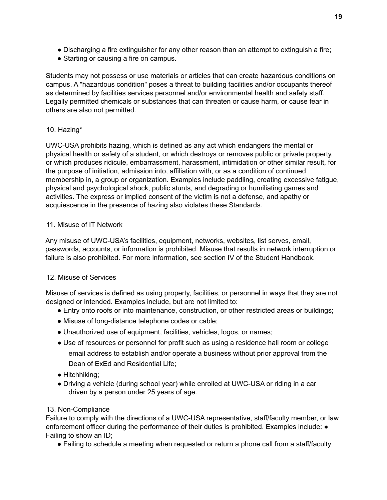- Discharging a fire extinguisher for any other reason than an attempt to extinguish a fire;
- Starting or causing a fire on campus.

Students may not possess or use materials or articles that can create hazardous conditions on campus. A "hazardous condition" poses a threat to building facilities and/or occupants thereof as determined by facilities services personnel and/or environmental health and safety staff. Legally permitted chemicals or substances that can threaten or cause harm, or cause fear in others are also not permitted.

# 10. Hazing\*

UWC-USA prohibits hazing, which is defined as any act which endangers the mental or physical health or safety of a student, or which destroys or removes public or private property, or which produces ridicule, embarrassment, harassment, intimidation or other similar result, for the purpose of initiation, admission into, affiliation with, or as a condition of continued membership in, a group or organization. Examples include paddling, creating excessive fatigue, physical and psychological shock, public stunts, and degrading or humiliating games and activities. The express or implied consent of the victim is not a defense, and apathy or acquiescence in the presence of hazing also violates these Standards.

# 11. Misuse of IT Network

Any misuse of UWC-USA's facilities, equipment, networks, websites, list serves, email, passwords, accounts, or information is prohibited. Misuse that results in network interruption or failure is also prohibited. For more information, see section IV of the Student Handbook.

# 12. Misuse of Services

Misuse of services is defined as using property, facilities, or personnel in ways that they are not designed or intended. Examples include, but are not limited to:

- Entry onto roofs or into maintenance, construction, or other restricted areas or buildings;
- Misuse of long-distance telephone codes or cable;
- Unauthorized use of equipment, facilities, vehicles, logos, or names;
- Use of resources or personnel for profit such as using a residence hall room or college email address to establish and/or operate a business without prior approval from the Dean of ExEd and Residential Life;
- Hitchhiking;
- Driving a vehicle (during school year) while enrolled at UWC-USA or riding in a car driven by a person under 25 years of age.

# 13. Non-Compliance

Failure to comply with the directions of a UWC-USA representative, staff/faculty member, or law enforcement officer during the performance of their duties is prohibited. Examples include: ● Failing to show an ID;

● Failing to schedule a meeting when requested or return a phone call from a staff/faculty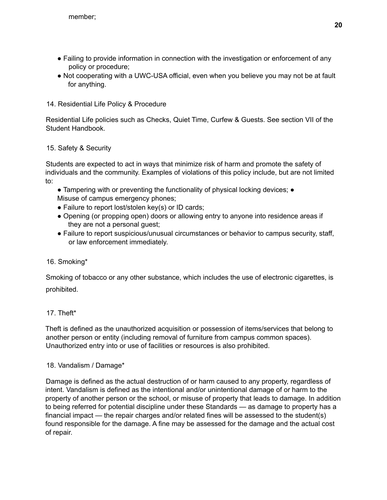- Failing to provide information in connection with the investigation or enforcement of any policy or procedure;
- Not cooperating with a UWC-USA official, even when you believe you may not be at fault for anything.

# 14. Residential Life Policy & Procedure

Residential Life policies such as Checks, Quiet Time, Curfew & Guests. See section VII of the Student Handbook.

# 15. Safety & Security

Students are expected to act in ways that minimize risk of harm and promote the safety of individuals and the community. Examples of violations of this policy include, but are not limited to:

- Tampering with or preventing the functionality of physical locking devices; Misuse of campus emergency phones;
- Failure to report lost/stolen key(s) or ID cards;
- Opening (or propping open) doors or allowing entry to anyone into residence areas if they are not a personal guest;
- Failure to report suspicious/unusual circumstances or behavior to campus security, staff, or law enforcement immediately.

# 16. Smoking\*

Smoking of tobacco or any other substance, which includes the use of electronic cigarettes, is prohibited.

# 17. Theft\*

Theft is defined as the unauthorized acquisition or possession of items/services that belong to another person or entity (including removal of furniture from campus common spaces). Unauthorized entry into or use of facilities or resources is also prohibited.

# 18. Vandalism / Damage\*

Damage is defined as the actual destruction of or harm caused to any property, regardless of intent. Vandalism is defined as the intentional and/or unintentional damage of or harm to the property of another person or the school, or misuse of property that leads to damage. In addition to being referred for potential discipline under these Standards — as damage to property has a financial impact — the repair charges and/or related fines will be assessed to the student(s) found responsible for the damage. A fine may be assessed for the damage and the actual cost of repair.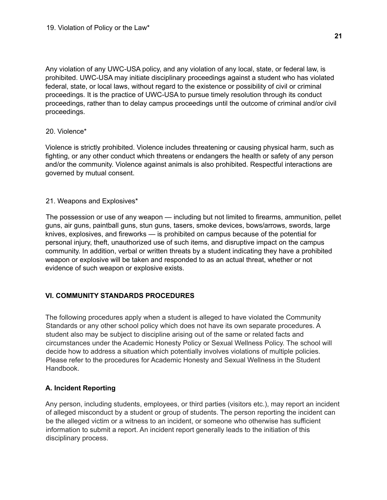Any violation of any UWC-USA policy, and any violation of any local, state, or federal law, is prohibited. UWC-USA may initiate disciplinary proceedings against a student who has violated federal, state, or local laws, without regard to the existence or possibility of civil or criminal proceedings. It is the practice of UWC-USA to pursue timely resolution through its conduct proceedings, rather than to delay campus proceedings until the outcome of criminal and/or civil proceedings.

# 20. Violence\*

Violence is strictly prohibited. Violence includes threatening or causing physical harm, such as fighting, or any other conduct which threatens or endangers the health or safety of any person and/or the community. Violence against animals is also prohibited. Respectful interactions are governed by mutual consent.

# 21. Weapons and Explosives\*

The possession or use of any weapon — including but not limited to firearms, ammunition, pellet guns, air guns, paintball guns, stun guns, tasers, smoke devices, bows/arrows, swords, large knives, explosives, and fireworks — is prohibited on campus because of the potential for personal injury, theft, unauthorized use of such items, and disruptive impact on the campus community. In addition, verbal or written threats by a student indicating they have a prohibited weapon or explosive will be taken and responded to as an actual threat, whether or not evidence of such weapon or explosive exists.

# **VI. COMMUNITY STANDARDS PROCEDURES**

The following procedures apply when a student is alleged to have violated the Community Standards or any other school policy which does not have its own separate procedures. A student also may be subject to discipline arising out of the same or related facts and circumstances under the Academic Honesty Policy or Sexual Wellness Policy. The school will decide how to address a situation which potentially involves violations of multiple policies. Please refer to the procedures for Academic Honesty and Sexual Wellness in the Student Handbook.

# **A. Incident Reporting**

Any person, including students, employees, or third parties (visitors etc.), may report an incident of alleged misconduct by a student or group of students. The person reporting the incident can be the alleged victim or a witness to an incident, or someone who otherwise has sufficient information to submit a report. An incident report generally leads to the initiation of this disciplinary process.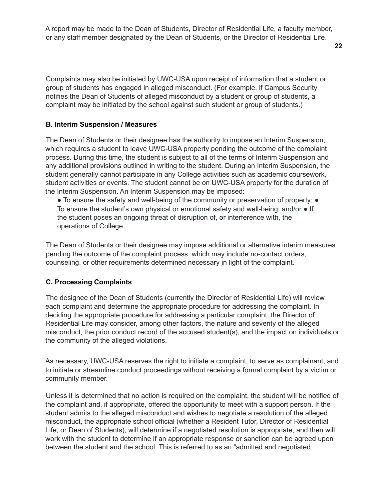A report may be made to the Dean of Students, Director of Residential Life, a faculty member, or any staff member designated by the Dean of Students, or the Director of Residential Life.

Complaints may also be initiated by UWC-USA upon receipt of information that a student or group of students has engaged in alleged misconduct. (For example, if Campus Security notifies the Dean of Students of alleged misconduct by a student or group of students, a complaint may be initiated by the school against such student or group of students.)

#### **B. Interim Suspension / Measures**

The Dean of Students or their designee has the authority to impose an Interim Suspension, which requires a student to leave UWC-USA property pending the outcome of the complaint process. During this time, the student is subject to all of the terms of Interim Suspension and any additional provisions outlined in writing to the student. During an Interim Suspension, the student generally cannot participate in any College activities such as academic coursework, student activities or events. The student cannot be on UWC-USA property for the duration of the Interim Suspension. An Interim Suspension may be imposed:

• To ensure the safety and well-being of the community or preservation of property; • To ensure the student's own physical or emotional safety and well-being; and/or ● If the student poses an ongoing threat of disruption of, or interference with, the operations of College.

The Dean of Students or their designee may impose additional or alternative interim measures pending the outcome of the complaint process, which may include no-contact orders, counseling, or other requirements determined necessary in light of the complaint.

#### **C. Processing Complaints**

The designee of the Dean of Students (currently the Director of Residential Life) will review each complaint and determine the appropriate procedure for addressing the complaint. In deciding the appropriate procedure for addressing a particular complaint, the Director of Residential Life may consider, among other factors, the nature and severity of the alleged misconduct, the prior conduct record of the accused student(s), and the impact on individuals or the community of the alleged violations.

As necessary, UWC-USA reserves the right to initiate a complaint, to serve as complainant, and to initiate or streamline conduct proceedings without receiving a formal complaint by a victim or community member.

Unless it is determined that no action is required on the complaint, the student will be notified of the complaint and, if appropriate, offered the opportunity to meet with a support person. If the student admits to the alleged misconduct and wishes to negotiate a resolution of the alleged misconduct, the appropriate school official (whether a Resident Tutor, Director of Residential Life, or Dean of Students), will determine if a negotiated resolution is appropriate, and then will work with the student to determine if an appropriate response or sanction can be agreed upon between the student and the school. This is referred to as an "admitted and negotiated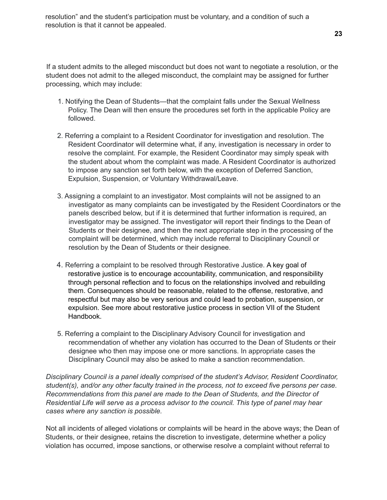resolution" and the student's participation must be voluntary, and a condition of such a resolution is that it cannot be appealed.

If a student admits to the alleged misconduct but does not want to negotiate a resolution, or the student does not admit to the alleged misconduct, the complaint may be assigned for further processing, which may include:

- 1. Notifying the Dean of Students—that the complaint falls under the Sexual Wellness Policy. The Dean will then ensure the procedures set forth in the applicable Policy are followed.
- 2. Referring a complaint to a Resident Coordinator for investigation and resolution. The Resident Coordinator will determine what, if any, investigation is necessary in order to resolve the complaint. For example, the Resident Coordinator may simply speak with the student about whom the complaint was made. A Resident Coordinator is authorized to impose any sanction set forth below, with the exception of Deferred Sanction, Expulsion, Suspension, or Voluntary Withdrawal/Leave.
- 3. Assigning a complaint to an investigator. Most complaints will not be assigned to an investigator as many complaints can be investigated by the Resident Coordinators or the panels described below, but if it is determined that further information is required, an investigator may be assigned. The investigator will report their findings to the Dean of Students or their designee, and then the next appropriate step in the processing of the complaint will be determined, which may include referral to Disciplinary Council or resolution by the Dean of Students or their designee.
- 4. Referring a complaint to be resolved through Restorative Justice. A key goal of restorative justice is to encourage accountability, communication, and responsibility through personal reflection and to focus on the relationships involved and rebuilding them. Consequences should be reasonable, related to the offense, restorative, and respectful but may also be very serious and could lead to probation, suspension, or expulsion. See more about restorative justice process in section VII of the Student Handbook.
- 5. Referring a complaint to the Disciplinary Advisory Council for investigation and recommendation of whether any violation has occurred to the Dean of Students or their designee who then may impose one or more sanctions. In appropriate cases the Disciplinary Council may also be asked to make a sanction recommendation.

*Disciplinary Council is a panel ideally comprised of the student's Advisor, Resident Coordinator, student(s), and/or any other faculty trained in the process, not to exceed five persons per case. Recommendations from this panel are made to the Dean of Students, and the Director of Residential Life will serve as a process advisor to the council. This type of panel may hear cases where any sanction is possible.*

Not all incidents of alleged violations or complaints will be heard in the above ways; the Dean of Students, or their designee, retains the discretion to investigate, determine whether a policy violation has occurred, impose sanctions, or otherwise resolve a complaint without referral to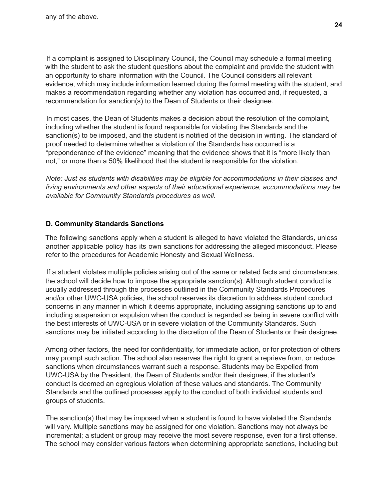If a complaint is assigned to Disciplinary Council, the Council may schedule a formal meeting with the student to ask the student questions about the complaint and provide the student with an opportunity to share information with the Council. The Council considers all relevant evidence, which may include information learned during the formal meeting with the student, and makes a recommendation regarding whether any violation has occurred and, if requested, a recommendation for sanction(s) to the Dean of Students or their designee.

In most cases, the Dean of Students makes a decision about the resolution of the complaint, including whether the student is found responsible for violating the Standards and the sanction(s) to be imposed, and the student is notified of the decision in writing. The standard of proof needed to determine whether a violation of the Standards has occurred is a "preponderance of the evidence" meaning that the evidence shows that it is "more likely than not," or more than a 50% likelihood that the student is responsible for the violation.

*Note: Just as students with disabilities may be eligible for accommodations in their classes and living environments and other aspects of their educational experience, accommodations may be available for Community Standards procedures as well.*

# **D. Community Standards Sanctions**

The following sanctions apply when a student is alleged to have violated the Standards, unless another applicable policy has its own sanctions for addressing the alleged misconduct. Please refer to the procedures for Academic Honesty and Sexual Wellness.

If a student violates multiple policies arising out of the same or related facts and circumstances, the school will decide how to impose the appropriate sanction(s). Although student conduct is usually addressed through the processes outlined in the Community Standards Procedures and/or other UWC-USA policies, the school reserves its discretion to address student conduct concerns in any manner in which it deems appropriate, including assigning sanctions up to and including suspension or expulsion when the conduct is regarded as being in severe conflict with the best interests of UWC-USA or in severe violation of the Community Standards. Such sanctions may be initiated according to the discretion of the Dean of Students or their designee.

Among other factors, the need for confidentiality, for immediate action, or for protection of others may prompt such action. The school also reserves the right to grant a reprieve from, or reduce sanctions when circumstances warrant such a response. Students may be Expelled from UWC-USA by the President, the Dean of Students and/or their designee, if the student's conduct is deemed an egregious violation of these values and standards. The Community Standards and the outlined processes apply to the conduct of both individual students and groups of students.

The sanction(s) that may be imposed when a student is found to have violated the Standards will vary. Multiple sanctions may be assigned for one violation. Sanctions may not always be incremental; a student or group may receive the most severe response, even for a first offense. The school may consider various factors when determining appropriate sanctions, including but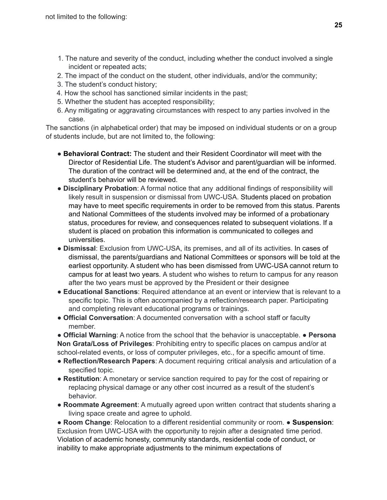- 1. The nature and severity of the conduct, including whether the conduct involved a single incident or repeated acts;
- 2. The impact of the conduct on the student, other individuals, and/or the community;
- 3. The student's conduct history;
- 4. How the school has sanctioned similar incidents in the past;
- 5. Whether the student has accepted responsibility;
- 6. Any mitigating or aggravating circumstances with respect to any parties involved in the case.

The sanctions (in alphabetical order) that may be imposed on individual students or on a group of students include, but are not limited to, the following:

- **Behavioral Contract:** The student and their Resident Coordinator will meet with the Director of Residential Life. The student's Advisor and parent/guardian will be informed. The duration of the contract will be determined and, at the end of the contract, the student's behavior will be reviewed.
- **Disciplinary Probation**: A formal notice that any additional findings of responsibility will likely result in suspension or dismissal from UWC-USA. Students placed on probation may have to meet specific requirements in order to be removed from this status. Parents and National Committees of the students involved may be informed of a probationary status, procedures for review, and consequences related to subsequent violations. If a student is placed on probation this information is communicated to colleges and universities.
- **Dismissal**: Exclusion from UWC-USA, its premises, and all of its activities. In cases of dismissal, the parents/guardians and National Committees or sponsors will be told at the earliest opportunity. A student who has been dismissed from UWC-USA cannot return to campus for at least two years. A student who wishes to return to campus for any reason after the two years must be approved by the President or their designee
- **Educational Sanctions**: Required attendance at an event or interview that is relevant to a specific topic. This is often accompanied by a reflection/research paper. Participating and completing relevant educational programs or trainings.
- **Official Conversation**: A documented conversation with a school staff or faculty member.

● **Official Warning**: A notice from the school that the behavior is unacceptable. ● **Persona Non Grata/Loss of Privileges**: Prohibiting entry to specific places on campus and/or at school-related events, or loss of computer privileges, etc., for a specific amount of time.

- **Reflection/Research Papers**: A document requiring critical analysis and articulation of a specified topic.
- **Restitution**: A monetary or service sanction required to pay for the cost of repairing or replacing physical damage or any other cost incurred as a result of the student's behavior.
- **Roommate Agreement**: A mutually agreed upon written contract that students sharing a living space create and agree to uphold.

● **Room Change**: Relocation to a different residential community or room. ● **Suspension**: Exclusion from UWC-USA with the opportunity to rejoin after a designated time period. Violation of academic honesty, community standards, residential code of conduct, or inability to make appropriate adjustments to the minimum expectations of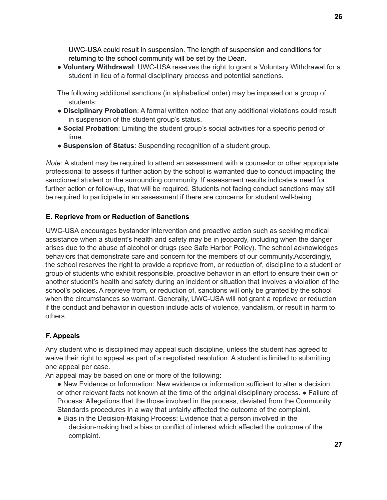UWC-USA could result in suspension. The length of suspension and conditions for returning to the school community will be set by the Dean.

● **Voluntary Withdrawal**: UWC-USA reserves the right to grant a Voluntary Withdrawal for a student in lieu of a formal disciplinary process and potential sanctions.

The following additional sanctions (in alphabetical order) may be imposed on a group of students:

- **Disciplinary Probation**: A formal written notice that any additional violations could result in suspension of the student group's status.
- **Social Probation**: Limiting the student group's social activities for a specific period of time.
- **Suspension of Status**: Suspending recognition of a student group.

*Note:* A student may be required to attend an assessment with a counselor or other appropriate professional to assess if further action by the school is warranted due to conduct impacting the sanctioned student or the surrounding community. If assessment results indicate a need for further action or follow-up, that will be required. Students not facing conduct sanctions may still be required to participate in an assessment if there are concerns for student well-being.

# **E. Reprieve from or Reduction of Sanctions**

UWC-USA encourages bystander intervention and proactive action such as seeking medical assistance when a student's health and safety may be in jeopardy, including when the danger arises due to the abuse of alcohol or drugs (see Safe Harbor Policy). The school acknowledges behaviors that demonstrate care and concern for the members of our community.Accordingly, the school reserves the right to provide a reprieve from, or reduction of, discipline to a student or group of students who exhibit responsible, proactive behavior in an effort to ensure their own or another student's health and safety during an incident or situation that involves a violation of the school's policies. A reprieve from, or reduction of, sanctions will only be granted by the school when the circumstances so warrant. Generally, UWC-USA will not grant a reprieve or reduction if the conduct and behavior in question include acts of violence, vandalism, or result in harm to others.

# **F. Appeals**

Any student who is disciplined may appeal such discipline, unless the student has agreed to waive their right to appeal as part of a negotiated resolution. A student is limited to submitting one appeal per case.

An appeal may be based on one or more of the following:

- New Evidence or Information: New evidence or information sufficient to alter a decision, or other relevant facts not known at the time of the original disciplinary process. ● Failure of Process: Allegations that the those involved in the process, deviated from the Community Standards procedures in a way that unfairly affected the outcome of the complaint.
- Bias in the Decision-Making Process: Evidence that a person involved in the decision-making had a bias or conflict of interest which affected the outcome of the complaint.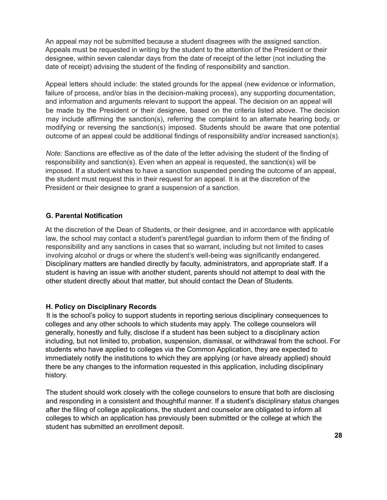An appeal may not be submitted because a student disagrees with the assigned sanction. Appeals must be requested in writing by the student to the attention of the President or their designee, within seven calendar days from the date of receipt of the letter (not including the date of receipt) advising the student of the finding of responsibility and sanction.

Appeal letters should include: the stated grounds for the appeal (new evidence or information, failure of process, and/or bias in the decision-making process), any supporting documentation, and information and arguments relevant to support the appeal. The decision on an appeal will be made by the President or their designee, based on the criteria listed above. The decision may include affirming the sanction(s), referring the complaint to an alternate hearing body, or modifying or reversing the sanction(s) imposed. Students should be aware that one potential outcome of an appeal could be additional findings of responsibility and/or increased sanction(s).

*Note:* Sanctions are effective as of the date of the letter advising the student of the finding of responsibility and sanction(s). Even when an appeal is requested, the sanction(s) will be imposed. If a student wishes to have a sanction suspended pending the outcome of an appeal, the student must request this in their request for an appeal. It is at the discretion of the President or their designee to grant a suspension of a sanction.

# **G. Parental Notification**

At the discretion of the Dean of Students, or their designee, and in accordance with applicable law, the school may contact a student's parent/legal guardian to inform them of the finding of responsibility and any sanctions in cases that so warrant, including but not limited to cases involving alcohol or drugs or where the student's well-being was significantly endangered. Disciplinary matters are handled directly by faculty, administrators, and appropriate staff. If a student is having an issue with another student, parents should not attempt to deal with the other student directly about that matter, but should contact the Dean of Students.

## **H. Policy on Disciplinary Records**

It is the school's policy to support students in reporting serious disciplinary consequences to colleges and any other schools to which students may apply. The college counselors will generally, honestly and fully, disclose if a student has been subject to a disciplinary action including, but not limited to, probation, suspension, dismissal, or withdrawal from the school. For students who have applied to colleges via the Common Application, they are expected to immediately notify the institutions to which they are applying (or have already applied) should there be any changes to the information requested in this application, including disciplinary history.

The student should work closely with the college counselors to ensure that both are disclosing and responding in a consistent and thoughtful manner. If a student's disciplinary status changes after the filing of college applications, the student and counselor are obligated to inform all colleges to which an application has previously been submitted or the college at which the student has submitted an enrollment deposit.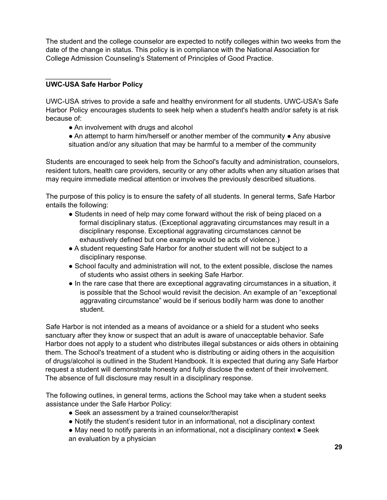The student and the college counselor are expected to notify colleges within two weeks from the date of the change in status. This policy is in compliance with the National Association for College Admission Counseling's Statement of Principles of Good Practice.

# **UWC-USA Safe Harbor Policy**

\_\_\_\_\_\_\_\_\_\_\_\_\_\_\_\_\_

UWC-USA strives to provide a safe and healthy environment for all students. UWC-USA's Safe Harbor Policy encourages students to seek help when a student's health and/or safety is at risk because of:

- An involvement with drugs and alcohol
- An attempt to harm him/herself or another member of the community Any abusive situation and/or any situation that may be harmful to a member of the community

Students are encouraged to seek help from the School's faculty and administration, counselors, resident tutors, health care providers, security or any other adults when any situation arises that may require immediate medical attention or involves the previously described situations.

The purpose of this policy is to ensure the safety of all students. In general terms, Safe Harbor entails the following:

- Students in need of help may come forward without the risk of being placed on a formal disciplinary status. (Exceptional aggravating circumstances may result in a disciplinary response. Exceptional aggravating circumstances cannot be exhaustively defined but one example would be acts of violence.)
- A student requesting Safe Harbor for another student will not be subject to a disciplinary response.
- School faculty and administration will not, to the extent possible, disclose the names of students who assist others in seeking Safe Harbor.
- In the rare case that there are exceptional aggravating circumstances in a situation, it is possible that the School would revisit the decision. An example of an "exceptional aggravating circumstance" would be if serious bodily harm was done to another student.

Safe Harbor is not intended as a means of avoidance or a shield for a student who seeks sanctuary after they know or suspect that an adult is aware of unacceptable behavior. Safe Harbor does not apply to a student who distributes illegal substances or aids others in obtaining them. The School's treatment of a student who is distributing or aiding others in the acquisition of drugs/alcohol is outlined in the Student Handbook. It is expected that during any Safe Harbor request a student will demonstrate honesty and fully disclose the extent of their involvement. The absence of full disclosure may result in a disciplinary response.

The following outlines, in general terms, actions the School may take when a student seeks assistance under the Safe Harbor Policy:

- Seek an assessment by a trained counselor/therapist
- Notify the student's resident tutor in an informational, not a disciplinary context
- May need to notify parents in an informational, not a disciplinary context Seek an evaluation by a physician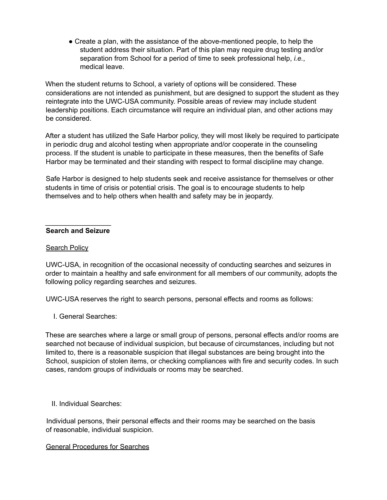• Create a plan, with the assistance of the above-mentioned people, to help the student address their situation. Part of this plan may require drug testing and/or separation from School for a period of time to seek professional help, *i.e.*, medical leave.

When the student returns to School, a variety of options will be considered. These considerations are not intended as punishment, but are designed to support the student as they reintegrate into the UWC-USA community. Possible areas of review may include student leadership positions. Each circumstance will require an individual plan, and other actions may be considered.

After a student has utilized the Safe Harbor policy, they will most likely be required to participate in periodic drug and alcohol testing when appropriate and/or cooperate in the counseling process. If the student is unable to participate in these measures, then the benefits of Safe Harbor may be terminated and their standing with respect to formal discipline may change.

Safe Harbor is designed to help students seek and receive assistance for themselves or other students in time of crisis or potential crisis. The goal is to encourage students to help themselves and to help others when health and safety may be in jeopardy.

#### \_\_\_\_\_\_\_\_\_\_\_\_\_\_\_\_\_ **Search and Seizure**

#### Search Policy

UWC-USA, in recognition of the occasional necessity of conducting searches and seizures in order to maintain a healthy and safe environment for all members of our community, adopts the following policy regarding searches and seizures.

UWC-USA reserves the right to search persons, personal effects and rooms as follows:

I. General Searches:

These are searches where a large or small group of persons, personal effects and/or rooms are searched not because of individual suspicion, but because of circumstances, including but not limited to, there is a reasonable suspicion that illegal substances are being brought into the School, suspicion of stolen items, or checking compliances with fire and security codes. In such cases, random groups of individuals or rooms may be searched.

II. Individual Searches:

Individual persons, their personal effects and their rooms may be searched on the basis of reasonable, individual suspicion.

#### General Procedures for Searches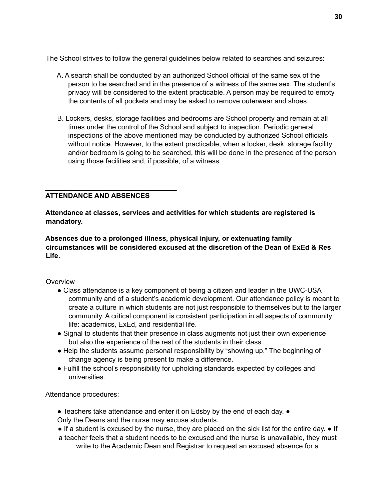The School strives to follow the general guidelines below related to searches and seizures:

- A. A search shall be conducted by an authorized School official of the same sex of the person to be searched and in the presence of a witness of the same sex. The student's privacy will be considered to the extent practicable. A person may be required to empty the contents of all pockets and may be asked to remove outerwear and shoes.
- B. Lockers, desks, storage facilities and bedrooms are School property and remain at all times under the control of the School and subject to inspection. Periodic general inspections of the above mentioned may be conducted by authorized School officials without notice. However, to the extent practicable, when a locker, desk, storage facility and/or bedroom is going to be searched, this will be done in the presence of the person using those facilities and, if possible, of a witness.

# **ATTENDANCE AND ABSENCES**

\_\_\_\_\_\_\_\_\_\_\_\_\_\_\_\_\_\_\_\_\_\_\_\_\_\_\_\_\_\_\_\_\_\_

**Attendance at classes, services and activities for which students are registered is mandatory.**

**Absences due to a prolonged illness, physical injury, or extenuating family circumstances will be considered excused at the discretion of the Dean of ExEd & Res Life.**

## **Overview**

- Class attendance is a key component of being a citizen and leader in the UWC-USA community and of a student's academic development. Our attendance policy is meant to create a culture in which students are not just responsible to themselves but to the larger community. A critical component is consistent participation in all aspects of community life: academics, ExEd, and residential life.
- Signal to students that their presence in class augments not just their own experience but also the experience of the rest of the students in their class.
- Help the students assume personal responsibility by "showing up." The beginning of change agency is being present to make a difference.
- Fulfill the school's responsibility for upholding standards expected by colleges and universities.

Attendance procedures:

- Teachers take attendance and enter it on Edsby by the end of each day. Only the Deans and the nurse may excuse students.
- If a student is excused by the nurse, they are placed on the sick list for the entire day. If
- a teacher feels that a student needs to be excused and the nurse is unavailable, they must write to the Academic Dean and Registrar to request an excused absence for a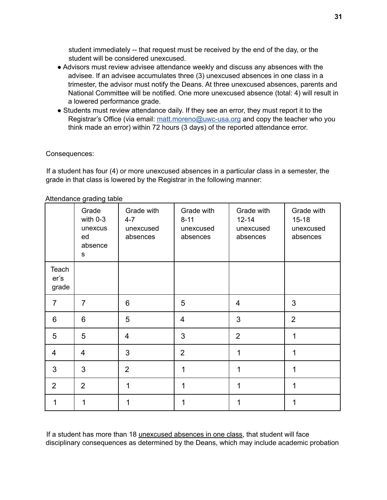student immediately -- that request must be received by the end of the day, or the student will be considered unexcused.

- Advisors must review advisee attendance weekly and discuss any absences with the advisee. If an advisee accumulates three (3) unexcused absences in one class in a trimester, the advisor must notify the Deans. At three unexcused absences, parents and National Committee will be notified. One more unexcused absence (total: 4) will result in a lowered performance grade.
- Students must review attendance daily. If they see an error, they must report it to the Registrar's Office (via email: matt.moreno@uwc-usa.org and copy the teacher who you think made an error) within 72 hours (3 days) of the reported attendance error.

## Consequences:

If a student has four (4) or more unexcused absences in a particular class in a semester, the grade in that class is lowered by the Registrar in the following manner:

|                        | $n$ and $n$ and $n$ and $n$ and $n$<br>Grade<br>with 0-3<br>unexcus<br>ed<br>absence<br>S | Grade with<br>$4 - 7$<br>unexcused<br>absences | Grade with<br>$8 - 11$<br>unexcused<br>absences | Grade with<br>$12 - 14$<br>unexcused<br>absences | Grade with<br>$15 - 18$<br>unexcused<br>absences |
|------------------------|-------------------------------------------------------------------------------------------|------------------------------------------------|-------------------------------------------------|--------------------------------------------------|--------------------------------------------------|
| Teach<br>er's<br>grade |                                                                                           |                                                |                                                 |                                                  |                                                  |
| $\overline{7}$         | $\overline{7}$                                                                            | 6                                              | 5                                               | 4                                                | 3                                                |
| 6                      | 6                                                                                         | 5                                              | $\overline{4}$                                  | 3                                                | $\overline{2}$                                   |
| 5                      | 5                                                                                         | 4                                              | 3                                               | $\overline{2}$                                   | 1                                                |
| 4                      | $\overline{4}$                                                                            | 3                                              | $\overline{2}$                                  | 1                                                | 1                                                |
| 3                      | 3                                                                                         | $\overline{2}$                                 | 1                                               | 1                                                | 1                                                |
| 2                      | $\overline{2}$                                                                            | 1                                              | 1                                               | 1                                                | 1                                                |
| 1                      | 1                                                                                         | 1                                              | 1                                               | 1                                                | 1                                                |

Attendance grading table

If a student has more than 18 unexcused absences in one class, that student will face disciplinary consequences as determined by the Deans, which may include academic probation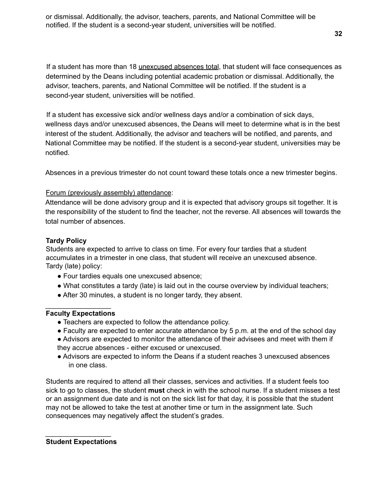or dismissal. Additionally, the advisor, teachers, parents, and National Committee will be notified. If the student is a second-year student, universities will be notified.

If a student has more than 18 unexcused absences total, that student will face consequences as determined by the Deans including potential academic probation or dismissal. Additionally, the advisor, teachers, parents, and National Committee will be notified. If the student is a second-year student, universities will be notified.

If a student has excessive sick and/or wellness days and/or a combination of sick days, wellness days and/or unexcused absences, the Deans will meet to determine what is in the best interest of the student. Additionally, the advisor and teachers will be notified, and parents, and National Committee may be notified. If the student is a second-year student, universities may be notified.

Absences in a previous trimester do not count toward these totals once a new trimester begins.

## Forum (previously assembly) attendance:

Attendance will be done advisory group and it is expected that advisory groups sit together. It is the responsibility of the student to find the teacher, not the reverse. All absences will towards the total number of absences.

## **Tardy Policy**

Students are expected to arrive to class on time. For every four tardies that a student accumulates in a trimester in one class, that student will receive an unexcused absence. Tardy (late) policy:

- Four tardies equals one unexcused absence;
- What constitutes a tardy (late) is laid out in the course overview by individual teachers;
- After 30 minutes, a student is no longer tardy, they absent.

#### \_\_\_\_\_\_\_\_\_\_\_\_\_\_\_\_\_ **Faculty Expectations**

- Teachers are expected to follow the attendance policy.
- Faculty are expected to enter accurate attendance by 5 p.m. at the end of the school day
- Advisors are expected to monitor the attendance of their advisees and meet with them if they accrue absences - either excused or unexcused.
- Advisors are expected to inform the Deans if a student reaches 3 unexcused absences in one class.

Students are required to attend all their classes, services and activities. If a student feels too sick to go to classes, the student **must** check in with the school nurse. If a student misses a test or an assignment due date and is not on the sick list for that day, it is possible that the student may not be allowed to take the test at another time or turn in the assignment late. Such consequences may negatively affect the student's grades.

#### \_\_\_\_\_\_\_\_\_\_\_\_\_\_\_\_\_ **Student Expectations**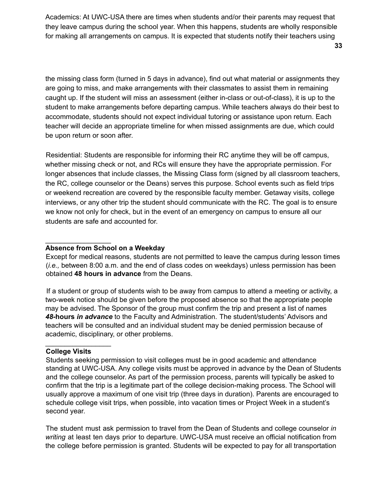Academics: At UWC-USA there are times when students and/or their parents may request that they leave campus during the school year. When this happens, students are wholly responsible for making all arrangements on campus. It is expected that students notify their teachers using

the missing class form (turned in 5 days in advance), find out what material or assignments they are going to miss, and make arrangements with their classmates to assist them in remaining caught up. If the student will miss an assessment (either in-class or out-of-class), it is up to the student to make arrangements before departing campus. While teachers always do their best to accommodate, students should not expect individual tutoring or assistance upon return. Each teacher will decide an appropriate timeline for when missed assignments are due, which could be upon return or soon after.

Residential: Students are responsible for informing their RC anytime they will be off campus, whether missing check or not, and RCs will ensure they have the appropriate permission. For longer absences that include classes, the Missing Class form (signed by all classroom teachers, the RC, college counselor or the Deans) serves this purpose. School events such as field trips or weekend recreation are covered by the responsible faculty member. Getaway visits, college interviews, or any other trip the student should communicate with the RC. The goal is to ensure we know not only for check, but in the event of an emergency on campus to ensure all our students are safe and accounted for.

## **Absence from School on a Weekday**

\_\_\_\_\_\_\_\_\_\_\_\_\_\_\_\_\_

Except for medical reasons, students are not permitted to leave the campus during lesson times (*i.e.,* between 8:00 a.m. and the end of class codes on weekdays) unless permission has been obtained **48 hours in advance** from the Deans.

If a student or group of students wish to be away from campus to attend a meeting or activity, a two-week notice should be given before the proposed absence so that the appropriate people may be advised. The Sponsor of the group must confirm the trip and present a list of names *48-***hours** *in advance* to the Faculty and Administration. The student/students' Advisors and teachers will be consulted and an individual student may be denied permission because of academic, disciplinary, or other problems.

## **College Visits**

\_\_\_\_\_\_\_\_\_\_\_\_\_\_\_\_\_

Students seeking permission to visit colleges must be in good academic and attendance standing at UWC-USA. Any college visits must be approved in advance by the Dean of Students and the college counselor. As part of the permission process, parents will typically be asked to confirm that the trip is a legitimate part of the college decision-making process. The School will usually approve a maximum of one visit trip (three days in duration). Parents are encouraged to schedule college visit trips, when possible, into vacation times or Project Week in a student's second year.

The student must ask permission to travel from the Dean of Students and college counselor *in writing* at least ten days prior to departure. UWC-USA must receive an official notification from the college before permission is granted. Students will be expected to pay for all transportation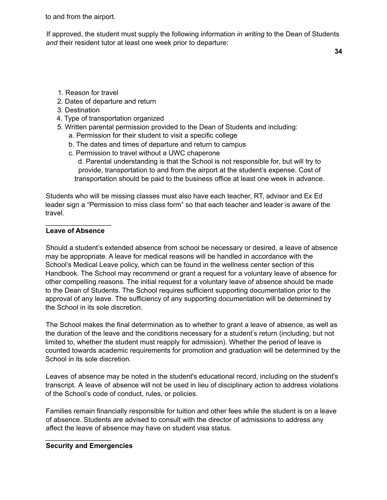to and from the airport.

If approved, the student must supply the following information *in writing* to the Dean of Students *and* their resident tutor at least one week prior to departure:

**34**

- 1. Reason for travel
- 2. Dates of departure and return
- 3. Destination
- 4. Type of transportation organized
- 5. Written parental permission provided to the Dean of Students and including:
	- a. Permission for their student to visit a specific college
	- b. The dates and times of departure and return to campus
	- c. Permission to travel without a UWC chaperone
		- d. Parental understanding is that the School is not responsible for, but will try to provide, transportation to and from the airport at the student's expense. Cost of transportation should be paid to the business office at least one week in advance.

Students who will be missing classes must also have each teacher, RT, advisor and Ex Ed leader sign a "Permission to miss class form" so that each teacher and leader is aware of the travel.

## \_\_\_\_\_\_\_\_\_\_\_\_\_\_\_\_\_ **Leave of Absence**

Should a student's extended absence from school be necessary or desired, a leave of absence may be appropriate. A leave for medical reasons will be handled in accordance with the School's Medical Leave policy, which can be found in the wellness center section of this Handbook. The School may recommend or grant a request for a voluntary leave of absence for other compelling reasons. The initial request for a voluntary leave of absence should be made to the Dean of Students. The School requires sufficient supporting documentation prior to the approval of any leave. The sufficiency of any supporting documentation will be determined by the School in its sole discretion.

The School makes the final determination as to whether to grant a leave of absence, as well as the duration of the leave and the conditions necessary for a student's return (including, but not limited to, whether the student must reapply for admission). Whether the period of leave is counted towards academic requirements for promotion and graduation will be determined by the School in its sole discretion.

Leaves of absence may be noted in the student's educational record, including on the student's transcript. A leave of absence will not be used in lieu of disciplinary action to address violations of the School's code of conduct, rules, or policies.

Families remain financially responsible for tuition and other fees while the student is on a leave of absence. Students are advised to consult with the director of admissions to address any affect the leave of absence may have on student visa status.

# **Security and Emergencies**

\_\_\_\_\_\_\_\_\_\_\_\_\_\_\_\_\_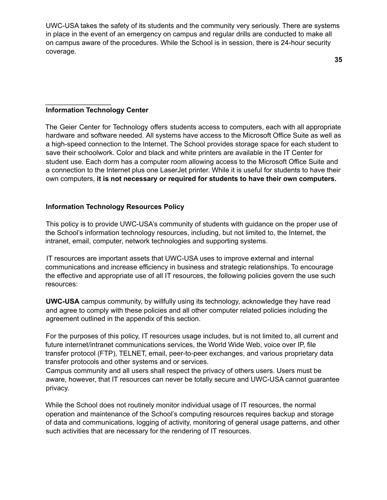UWC-USA takes the safety of its students and the community very seriously. There are systems in place in the event of an emergency on campus and regular drills are conducted to make all on campus aware of the procedures. While the School is in session, there is 24-hour security coverage.

**35**

## **Information Technology Center**

\_\_\_\_\_\_\_\_\_\_\_\_\_\_\_\_\_

The Geier Center for Technology offers students access to computers, each with all appropriate hardware and software needed. All systems have access to the Microsoft Office Suite as well as a high-speed connection to the Internet. The School provides storage space for each student to save their schoolwork. Color and black and white printers are available in the IT Center for student use. Each dorm has a computer room allowing access to the Microsoft Office Suite and a connection to the Internet plus one LaserJet printer. While it is useful for students to have their own computers, **it is not necessary or required for students to have their own computers.**

#### **Information Technology Resources Policy**

This policy is to provide UWC-USA's community of students with guidance on the proper use of the School's information technology resources, including, but not limited to, the Internet, the intranet, email, computer, network technologies and supporting systems.

IT resources are important assets that UWC-USA uses to improve external and internal communications and increase efficiency in business and strategic relationships. To encourage the effective and appropriate use of all IT resources, the following policies govern the use such resources:

**UWC-USA** campus community, by willfully using its technology, acknowledge they have read and agree to comply with these policies and all other computer related policies including the agreement outlined in the appendix of this section.

For the purposes of this policy, IT resources usage includes, but is not limited to, all current and future internet/intranet communications services, the World Wide Web, voice over IP, file transfer protocol (FTP), TELNET, email, peer-to-peer exchanges, and various proprietary data transfer protocols and other systems and or services.

Campus community and all users shall respect the privacy of others users. Users must be aware, however, that IT resources can never be totally secure and UWC-USA cannot guarantee privacy.

While the School does not routinely monitor individual usage of IT resources, the normal operation and maintenance of the School's computing resources requires backup and storage of data and communications, logging of activity, monitoring of general usage patterns, and other such activities that are necessary for the rendering of IT resources.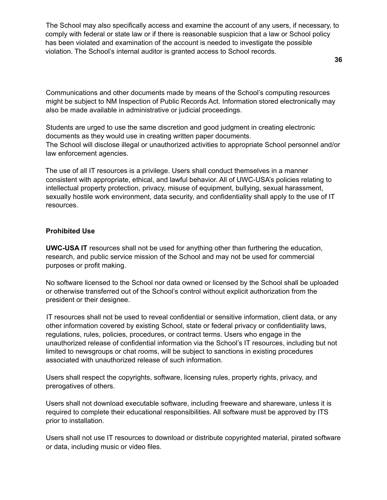The School may also specifically access and examine the account of any users, if necessary, to comply with federal or state law or if there is reasonable suspicion that a law or School policy has been violated and examination of the account is needed to investigate the possible violation. The School's internal auditor is granted access to School records.

**36**

Communications and other documents made by means of the School's computing resources might be subject to NM Inspection of Public Records Act. Information stored electronically may also be made available in administrative or judicial proceedings.

Students are urged to use the same discretion and good judgment in creating electronic documents as they would use in creating written paper documents. The School will disclose illegal or unauthorized activities to appropriate School personnel and/or law enforcement agencies.

The use of all IT resources is a privilege. Users shall conduct themselves in a manner consistent with appropriate, ethical, and lawful behavior. All of UWC-USA's policies relating to intellectual property protection, privacy, misuse of equipment, bullying, sexual harassment, sexually hostile work environment, data security, and confidentiality shall apply to the use of IT resources.

## **Prohibited Use**

**UWC-USA IT** resources shall not be used for anything other than furthering the education, research, and public service mission of the School and may not be used for commercial purposes or profit making.

No software licensed to the School nor data owned or licensed by the School shall be uploaded or otherwise transferred out of the School's control without explicit authorization from the president or their designee.

IT resources shall not be used to reveal confidential or sensitive information, client data, or any other information covered by existing School, state or federal privacy or confidentiality laws, regulations, rules, policies, procedures, or contract terms. Users who engage in the unauthorized release of confidential information via the School's IT resources, including but not limited to newsgroups or chat rooms, will be subject to sanctions in existing procedures associated with unauthorized release of such information.

Users shall respect the copyrights, software, licensing rules, property rights, privacy, and prerogatives of others.

Users shall not download executable software, including freeware and shareware, unless it is required to complete their educational responsibilities. All software must be approved by ITS prior to installation.

Users shall not use IT resources to download or distribute copyrighted material, pirated software or data, including music or video files.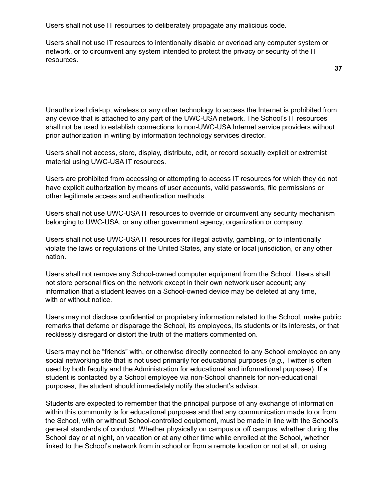Users shall not use IT resources to deliberately propagate any malicious code.

Users shall not use IT resources to intentionally disable or overload any computer system or network, or to circumvent any system intended to protect the privacy or security of the IT resources.

Unauthorized dial-up, wireless or any other technology to access the Internet is prohibited from any device that is attached to any part of the UWC-USA network. The School's IT resources shall not be used to establish connections to non-UWC-USA Internet service providers without prior authorization in writing by information technology services director.

Users shall not access, store, display, distribute, edit, or record sexually explicit or extremist material using UWC-USA IT resources.

Users are prohibited from accessing or attempting to access IT resources for which they do not have explicit authorization by means of user accounts, valid passwords, file permissions or other legitimate access and authentication methods.

Users shall not use UWC-USA IT resources to override or circumvent any security mechanism belonging to UWC-USA, or any other government agency, organization or company.

Users shall not use UWC-USA IT resources for illegal activity, gambling, or to intentionally violate the laws or regulations of the United States, any state or local jurisdiction, or any other nation.

Users shall not remove any School-owned computer equipment from the School. Users shall not store personal files on the network except in their own network user account; any information that a student leaves on a School-owned device may be deleted at any time, with or without notice.

Users may not disclose confidential or proprietary information related to the School, make public remarks that defame or disparage the School, its employees, its students or its interests, or that recklessly disregard or distort the truth of the matters commented on.

Users may not be "friends" with, or otherwise directly connected to any School employee on any social networking site that is not used primarily for educational purposes (*e.g.,* Twitter is often used by both faculty and the Administration for educational and informational purposes). If a student is contacted by a School employee via non-School channels for non-educational purposes, the student should immediately notify the student's advisor.

Students are expected to remember that the principal purpose of any exchange of information within this community is for educational purposes and that any communication made to or from the School, with or without School-controlled equipment, must be made in line with the School's general standards of conduct. Whether physically on campus or off campus, whether during the School day or at night, on vacation or at any other time while enrolled at the School, whether linked to the School's network from in school or from a remote location or not at all, or using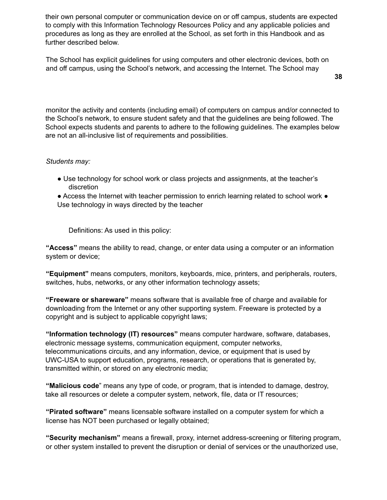their own personal computer or communication device on or off campus, students are expected to comply with this Information Technology Resources Policy and any applicable policies and procedures as long as they are enrolled at the School, as set forth in this Handbook and as further described below.

The School has explicit guidelines for using computers and other electronic devices, both on and off campus, using the School's network, and accessing the Internet. The School may

monitor the activity and contents (including email) of computers on campus and/or connected to the School's network, to ensure student safety and that the guidelines are being followed. The School expects students and parents to adhere to the following guidelines. The examples below are not an all-inclusive list of requirements and possibilities.

### *Students may:*

- Use technology for school work or class projects and assignments, at the teacher's discretion
- Access the Internet with teacher permission to enrich learning related to school work Use technology in ways directed by the teacher

Definitions: As used in this policy:

**"Access"** means the ability to read, change, or enter data using a computer or an information system or device;

**"Equipment"** means computers, monitors, keyboards, mice, printers, and peripherals, routers, switches, hubs, networks, or any other information technology assets;

**"Freeware or shareware"** means software that is available free of charge and available for downloading from the Internet or any other supporting system. Freeware is protected by a copyright and is subject to applicable copyright laws;

**"Information technology (IT) resources"** means computer hardware, software, databases, electronic message systems, communication equipment, computer networks, telecommunications circuits, and any information, device, or equipment that is used by UWC-USA to support education, programs, research, or operations that is generated by, transmitted within, or stored on any electronic media;

**"Malicious code**" means any type of code, or program, that is intended to damage, destroy, take all resources or delete a computer system, network, file, data or IT resources;

**"Pirated software"** means licensable software installed on a computer system for which a license has NOT been purchased or legally obtained;

**"Security mechanism"** means a firewall, proxy, internet address-screening or filtering program, or other system installed to prevent the disruption or denial of services or the unauthorized use,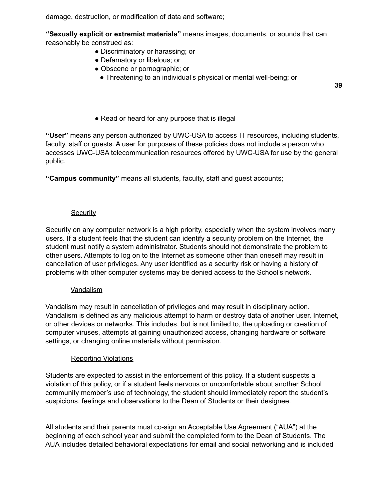damage, destruction, or modification of data and software;

**"Sexually explicit or extremist materials"** means images, documents, or sounds that can reasonably be construed as:

- Discriminatory or harassing; or
- Defamatory or libelous; or
- Obscene or pornographic; or
	- Threatening to an individual's physical or mental well-being; or

**39**

• Read or heard for any purpose that is illegal

**"User"** means any person authorized by UWC-USA to access IT resources, including students, faculty, staff or guests. A user for purposes of these policies does not include a person who accesses UWC-USA telecommunication resources offered by UWC-USA for use by the general public.

**"Campus community"** means all students, faculty, staff and guest accounts;

### **Security**

Security on any computer network is a high priority, especially when the system involves many users. If a student feels that the student can identify a security problem on the Internet, the student must notify a system administrator. Students should not demonstrate the problem to other users. Attempts to log on to the Internet as someone other than oneself may result in cancellation of user privileges. Any user identified as a security risk or having a history of problems with other computer systems may be denied access to the School's network.

### **Vandalism**

Vandalism may result in cancellation of privileges and may result in disciplinary action. Vandalism is defined as any malicious attempt to harm or destroy data of another user, Internet, or other devices or networks. This includes, but is not limited to, the uploading or creation of computer viruses, attempts at gaining unauthorized access, changing hardware or software settings, or changing online materials without permission.

### Reporting Violations

Students are expected to assist in the enforcement of this policy. If a student suspects a violation of this policy, or if a student feels nervous or uncomfortable about another School community member's use of technology, the student should immediately report the student's suspicions, feelings and observations to the Dean of Students or their designee.

All students and their parents must co-sign an Acceptable Use Agreement ("AUA") at the beginning of each school year and submit the completed form to the Dean of Students. The AUA includes detailed behavioral expectations for email and social networking and is included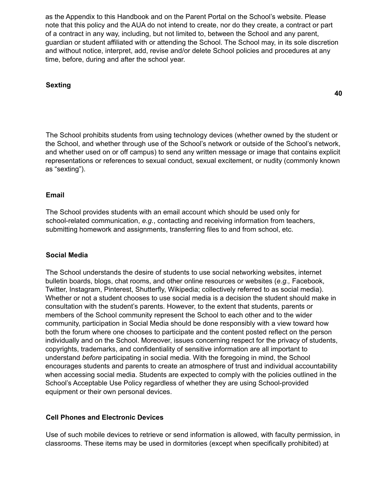as the Appendix to this Handbook and on the Parent Portal on the School's website. Please note that this policy and the AUA do not intend to create, nor do they create, a contract or part of a contract in any way, including, but not limited to, between the School and any parent, guardian or student affiliated with or attending the School. The School may, in its sole discretion and without notice, interpret, add, revise and/or delete School policies and procedures at any time, before, during and after the school year.

## **Sexting**

The School prohibits students from using technology devices (whether owned by the student or the School, and whether through use of the School's network or outside of the School's network, and whether used on or off campus) to send any written message or image that contains explicit representations or references to sexual conduct, sexual excitement, or nudity (commonly known as "sexting").

## **Email**

The School provides students with an email account which should be used only for school-related communication, *e.g.*, contacting and receiving information from teachers, submitting homework and assignments, transferring files to and from school, etc.

### **Social Media**

The School understands the desire of students to use social networking websites, internet bulletin boards, blogs, chat rooms, and other online resources or websites (*e.g.,* Facebook, Twitter, Instagram, Pinterest, Shutterfly, Wikipedia; collectively referred to as social media). Whether or not a student chooses to use social media is a decision the student should make in consultation with the student's parents. However, to the extent that students, parents or members of the School community represent the School to each other and to the wider community, participation in Social Media should be done responsibly with a view toward how both the forum where one chooses to participate and the content posted reflect on the person individually and on the School. Moreover, issues concerning respect for the privacy of students, copyrights, trademarks, and confidentiality of sensitive information are all important to understand *before* participating in social media. With the foregoing in mind, the School encourages students and parents to create an atmosphere of trust and individual accountability when accessing social media. Students are expected to comply with the policies outlined in the School's Acceptable Use Policy regardless of whether they are using School-provided equipment or their own personal devices.

### **Cell Phones and Electronic Devices**

Use of such mobile devices to retrieve or send information is allowed, with faculty permission, in classrooms. These items may be used in dormitories (except when specifically prohibited) at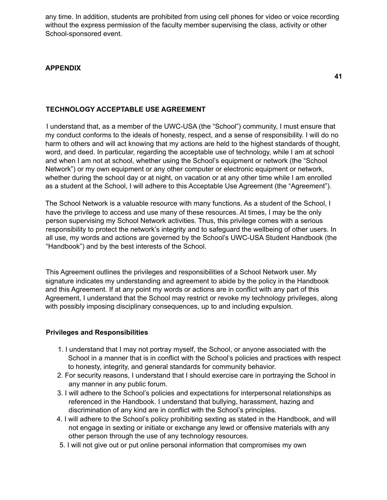any time. In addition, students are prohibited from using cell phones for video or voice recording without the express permission of the faculty member supervising the class, activity or other School-sponsored event.

### **APPENDIX**

**41**

### **TECHNOLOGY ACCEPTABLE USE AGREEMENT**

I understand that, as a member of the UWC-USA (the "School") community, I must ensure that my conduct conforms to the ideals of honesty, respect, and a sense of responsibility. I will do no harm to others and will act knowing that my actions are held to the highest standards of thought, word, and deed. In particular, regarding the acceptable use of technology, while I am at school and when I am not at school, whether using the School's equipment or network (the "School Network") or my own equipment or any other computer or electronic equipment or network, whether during the school day or at night, on vacation or at any other time while I am enrolled as a student at the School, I will adhere to this Acceptable Use Agreement (the "Agreement").

The School Network is a valuable resource with many functions. As a student of the School, I have the privilege to access and use many of these resources. At times, I may be the only person supervising my School Network activities. Thus, this privilege comes with a serious responsibility to protect the network's integrity and to safeguard the wellbeing of other users. In all use, my words and actions are governed by the School's UWC-USA Student Handbook (the "Handbook") and by the best interests of the School.

This Agreement outlines the privileges and responsibilities of a School Network user. My signature indicates my understanding and agreement to abide by the policy in the Handbook and this Agreement. If at any point my words or actions are in conflict with any part of this Agreement, I understand that the School may restrict or revoke my technology privileges, along with possibly imposing disciplinary consequences, up to and including expulsion.

### **Privileges and Responsibilities**

- 1. I understand that I may not portray myself, the School, or anyone associated with the School in a manner that is in conflict with the School's policies and practices with respect to honesty, integrity, and general standards for community behavior.
- 2. For security reasons, I understand that I should exercise care in portraying the School in any manner in any public forum.
- 3. I will adhere to the School's policies and expectations for interpersonal relationships as referenced in the Handbook. I understand that bullying, harassment, hazing and discrimination of any kind are in conflict with the School's principles.
- 4. I will adhere to the School's policy prohibiting sexting as stated in the Handbook, and will not engage in sexting or initiate or exchange any lewd or offensive materials with any other person through the use of any technology resources.
- 5. I will not give out or put online personal information that compromises my own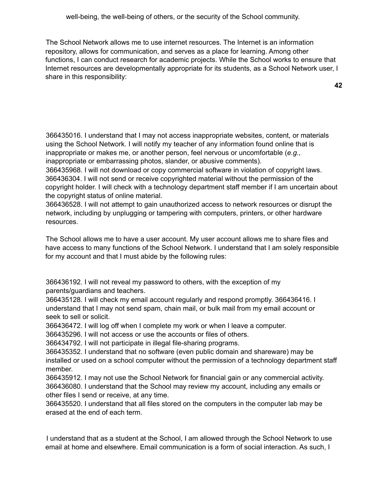The School Network allows me to use internet resources. The Internet is an information repository, allows for communication, and serves as a place for learning. Among other functions, I can conduct research for academic projects. While the School works to ensure that Internet resources are developmentally appropriate for its students, as a School Network user, I share in this responsibility:

366435016. I understand that I may not access inappropriate websites, content, or materials using the School Network. I will notify my teacher of any information found online that is inappropriate or makes me, or another person, feel nervous or uncomfortable (*e.g.*, inappropriate or embarrassing photos, slander, or abusive comments).

366435968. I will not download or copy commercial software in violation of copyright laws. 366436304. I will not send or receive copyrighted material without the permission of the copyright holder. I will check with a technology department staff member if I am uncertain about the copyright status of online material.

366436528. I will not attempt to gain unauthorized access to network resources or disrupt the network, including by unplugging or tampering with computers, printers, or other hardware resources.

The School allows me to have a user account. My user account allows me to share files and have access to many functions of the School Network. I understand that I am solely responsible for my account and that I must abide by the following rules:

366436192. I will not reveal my password to others, with the exception of my parents/guardians and teachers.

366435128. I will check my email account regularly and respond promptly. 366436416. I understand that I may not send spam, chain mail, or bulk mail from my email account or seek to sell or solicit.

366436472. I will log off when I complete my work or when I leave a computer.

366435296. I will not access or use the accounts or files of others.

366434792. I will not participate in illegal file-sharing programs.

366435352. I understand that no software (even public domain and shareware) may be installed or used on a school computer without the permission of a technology department staff member.

366435912. I may not use the School Network for financial gain or any commercial activity. 366436080. I understand that the School may review my account, including any emails or other files I send or receive, at any time.

366435520. I understand that all files stored on the computers in the computer lab may be erased at the end of each term.

I understand that as a student at the School, I am allowed through the School Network to use email at home and elsewhere. Email communication is a form of social interaction. As such, I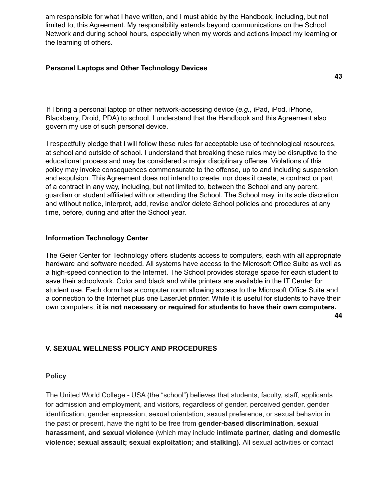am responsible for what I have written, and I must abide by the Handbook, including, but not limited to, this Agreement. My responsibility extends beyond communications on the School Network and during school hours, especially when my words and actions impact my learning or the learning of others.

## **Personal Laptops and Other Technology Devices**

**43**

If I bring a personal laptop or other network-accessing device (*e.g.,* iPad, iPod, iPhone, Blackberry, Droid, PDA) to school, I understand that the Handbook and this Agreement also govern my use of such personal device.

I respectfully pledge that I will follow these rules for acceptable use of technological resources, at school and outside of school. I understand that breaking these rules may be disruptive to the educational process and may be considered a major disciplinary offense. Violations of this policy may invoke consequences commensurate to the offense, up to and including suspension and expulsion. This Agreement does not intend to create, nor does it create, a contract or part of a contract in any way, including, but not limited to, between the School and any parent, guardian or student affiliated with or attending the School. The School may, in its sole discretion and without notice, interpret, add, revise and/or delete School policies and procedures at any time, before, during and after the School year.

## **Information Technology Center**

The Geier Center for Technology offers students access to computers, each with all appropriate hardware and software needed. All systems have access to the Microsoft Office Suite as well as a high-speed connection to the Internet. The School provides storage space for each student to save their schoolwork. Color and black and white printers are available in the IT Center for student use. Each dorm has a computer room allowing access to the Microsoft Office Suite and a connection to the Internet plus one LaserJet printer. While it is useful for students to have their own computers, **it is not necessary or required for students to have their own computers.**

**44**

# **V. SEXUAL WELLNESS POLICY AND PROCEDURES**

### **Policy**

The United World College - USA (the "school") believes that students, faculty, staff, applicants for admission and employment, and visitors, regardless of gender, perceived gender, gender identification, gender expression, sexual orientation, sexual preference, or sexual behavior in the past or present, have the right to be free from **gender-based discrimination**, **sexual harassment, and sexual violence** (which may include **intimate partner, dating and domestic violence; sexual assault; sexual exploitation; and stalking).** All sexual activities or contact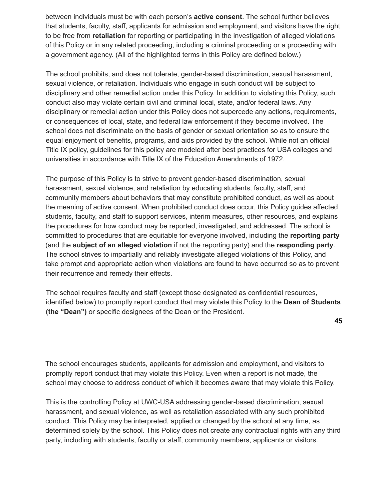between individuals must be with each person's **active consent**. The school further believes that students, faculty, staff, applicants for admission and employment, and visitors have the right to be free from **retaliation** for reporting or participating in the investigation of alleged violations of this Policy or in any related proceeding, including a criminal proceeding or a proceeding with a government agency. (All of the highlighted terms in this Policy are defined below.)

The school prohibits, and does not tolerate, gender-based discrimination, sexual harassment, sexual violence, or retaliation. Individuals who engage in such conduct will be subject to disciplinary and other remedial action under this Policy. In addition to violating this Policy, such conduct also may violate certain civil and criminal local, state, and/or federal laws. Any disciplinary or remedial action under this Policy does not supercede any actions, requirements, or consequences of local, state, and federal law enforcement if they become involved. The school does not discriminate on the basis of gender or sexual orientation so as to ensure the equal enjoyment of benefits, programs, and aids provided by the school. While not an official Title IX policy, guidelines for this policy are modeled after best practices for USA colleges and universities in accordance with Title IX of the Education Amendments of 1972.

The purpose of this Policy is to strive to prevent gender-based discrimination, sexual harassment, sexual violence, and retaliation by educating students, faculty, staff, and community members about behaviors that may constitute prohibited conduct, as well as about the meaning of active consent. When prohibited conduct does occur, this Policy guides affected students, faculty, and staff to support services, interim measures, other resources, and explains the procedures for how conduct may be reported, investigated, and addressed. The school is committed to procedures that are equitable for everyone involved, including the **reporting party** (and the **subject of an alleged violation** if not the reporting party) and the **responding party**. The school strives to impartially and reliably investigate alleged violations of this Policy, and take prompt and appropriate action when violations are found to have occurred so as to prevent their recurrence and remedy their effects.

The school requires faculty and staff (except those designated as confidential resources, identified below) to promptly report conduct that may violate this Policy to the **Dean of Students (the "Dean")** or specific designees of the Dean or the President.

The school encourages students, applicants for admission and employment, and visitors to promptly report conduct that may violate this Policy. Even when a report is not made, the school may choose to address conduct of which it becomes aware that may violate this Policy.

This is the controlling Policy at UWC-USA addressing gender-based discrimination, sexual harassment, and sexual violence, as well as retaliation associated with any such prohibited conduct. This Policy may be interpreted, applied or changed by the school at any time, as determined solely by the school. This Policy does not create any contractual rights with any third party, including with students, faculty or staff, community members, applicants or visitors.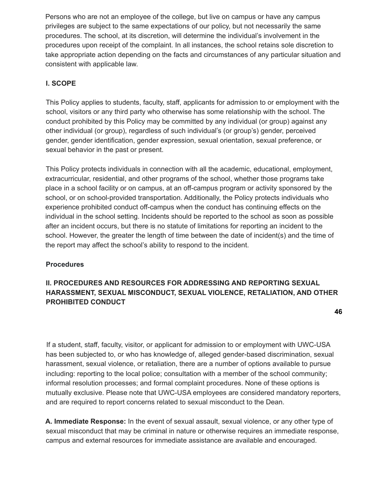Persons who are not an employee of the college, but live on campus or have any campus privileges are subject to the same expectations of our policy, but not necessarily the same procedures. The school, at its discretion, will determine the individual's involvement in the procedures upon receipt of the complaint. In all instances, the school retains sole discretion to take appropriate action depending on the facts and circumstances of any particular situation and consistent with applicable law.

# **I. SCOPE**

This Policy applies to students, faculty, staff, applicants for admission to or employment with the school, visitors or any third party who otherwise has some relationship with the school. The conduct prohibited by this Policy may be committed by any individual (or group) against any other individual (or group), regardless of such individual's (or group's) gender, perceived gender, gender identification, gender expression, sexual orientation, sexual preference, or sexual behavior in the past or present.

This Policy protects individuals in connection with all the academic, educational, employment, extracurricular, residential, and other programs of the school, whether those programs take place in a school facility or on campus, at an off-campus program or activity sponsored by the school, or on school-provided transportation. Additionally, the Policy protects individuals who experience prohibited conduct off-campus when the conduct has continuing effects on the individual in the school setting. Incidents should be reported to the school as soon as possible after an incident occurs, but there is no statute of limitations for reporting an incident to the school. However, the greater the length of time between the date of incident(s) and the time of the report may affect the school's ability to respond to the incident.

# **Procedures**

# **II. PROCEDURES AND RESOURCES FOR ADDRESSING AND REPORTING SEXUAL HARASSMENT, SEXUAL MISCONDUCT, SEXUAL VIOLENCE, RETALIATION, AND OTHER PROHIBITED CONDUCT**

If a student, staff, faculty, visitor, or applicant for admission to or employment with UWC-USA has been subjected to, or who has knowledge of, alleged gender-based discrimination, sexual harassment, sexual violence, or retaliation, there are a number of options available to pursue including: reporting to the local police; consultation with a member of the school community; informal resolution processes; and formal complaint procedures. None of these options is mutually exclusive. Please note that UWC-USA employees are considered mandatory reporters, and are required to report concerns related to sexual misconduct to the Dean.

**A. Immediate Response:** In the event of sexual assault, sexual violence, or any other type of sexual misconduct that may be criminal in nature or otherwise requires an immediate response, campus and external resources for immediate assistance are available and encouraged.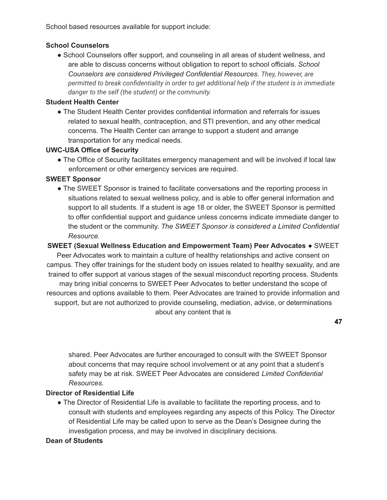School based resources available for support include:

## **School Counselors**

• School Counselors offer support, and counseling in all areas of student wellness, and are able to discuss concerns without obligation to report to school officials. *School Counselors are considered Privileged Confidential Resources. They, however, are permitted to break confidentiality in order to get additional help if the student is in immediate danger to the self (the student) or the community.*

# **Student Health Center**

• The Student Health Center provides confidential information and referrals for issues related to sexual health, contraception, and STI prevention, and any other medical concerns. The Health Center can arrange to support a student and arrange transportation for any medical needs.

## **UWC-USA Office of Security**

• The Office of Security facilitates emergency management and will be involved if local law enforcement or other emergency services are required.

## **SWEET Sponsor**

• The SWEET Sponsor is trained to facilitate conversations and the reporting process in situations related to sexual wellness policy, and is able to offer general information and support to all students. If a student is age 18 or older, the SWEET Sponsor is permitted to offer confidential support and guidance unless concerns indicate immediate danger to the student or the community. *The SWEET Sponsor is considered a Limited Confidential Resource.*

# **SWEET (Sexual Wellness Education and Empowerment Team) Peer Advocates** ● SWEET

Peer Advocates work to maintain a culture of healthy relationships and active consent on campus. They offer trainings for the student body on issues related to healthy sexuality, and are trained to offer support at various stages of the sexual misconduct reporting process. Students may bring initial concerns to SWEET Peer Advocates to better understand the scope of resources and options available to them. Peer Advocates are trained to provide information and support, but are not authorized to provide counseling, mediation, advice, or determinations about any content that is

**47**

shared. Peer Advocates are further encouraged to consult with the SWEET Sponsor about concerns that may require school involvement or at any point that a student's safety may be at risk. SWEET Peer Advocates are considered *Limited Confidential Resources*.

# **Director of Residential Life**

● The Director of Residential Life is available to facilitate the reporting process, and to consult with students and employees regarding any aspects of this Policy. The Director of Residential Life may be called upon to serve as the Dean's Designee during the investigation process, and may be involved in disciplinary decisions.

### **Dean of Students**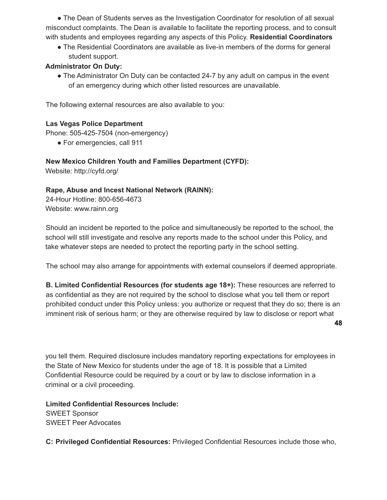● The Dean of Students serves as the Investigation Coordinator for resolution of all sexual misconduct complaints. The Dean is available to facilitate the reporting process, and to consult with students and employees regarding any aspects of this Policy. **Residential Coordinators**

• The Residential Coordinators are available as live-in members of the dorms for general student support.

# **Administrator On Duty:**

• The Administrator On Duty can be contacted 24-7 by any adult on campus in the event of an emergency during which other listed resources are unavailable.

The following external resources are also available to you:

# **Las Vegas Police Department**

Phone: 505-425-7504 (non-emergency)

● For emergencies, call 911

## **New Mexico Children Youth and Families Department (CYFD):**

Website: http://cyfd.org/

# **Rape, Abuse and Incest National Network (RAINN):**

24-Hour Hotline: 800-656-4673 Website: www.rainn.org

Should an incident be reported to the police and simultaneously be reported to the school, the school will still investigate and resolve any reports made to the school under this Policy, and take whatever steps are needed to protect the reporting party in the school setting.

The school may also arrange for appointments with external counselors if deemed appropriate.

**B. Limited Confidential Resources (for students age 18+):** These resources are referred to as confidential as they are not required by the school to disclose what you tell them or report prohibited conduct under this Policy unless: you authorize or request that they do so; there is an imminent risk of serious harm; or they are otherwise required by law to disclose or report what

you tell them. Required disclosure includes mandatory reporting expectations for employees in the State of New Mexico for students under the age of 18. It is possible that a Limited Confidential Resource could be required by a court or by law to disclose information in a criminal or a civil proceeding.

**Limited Confidential Resources Include:** SWEET Sponsor SWEET Peer Advocates

**C: Privileged Confidential Resources:** Privileged Confidential Resources include those who,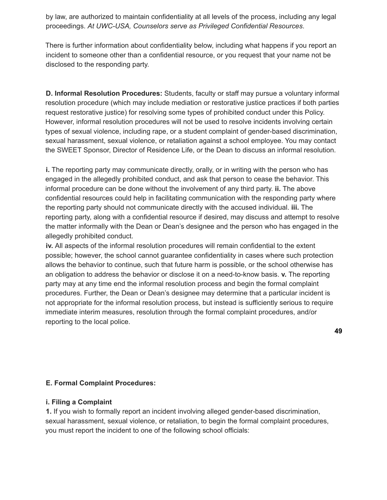by law, are authorized to maintain confidentiality at all levels of the process, including any legal proceedings. *At UWC-USA, Counselors serve as Privileged Confidential Resources*.

There is further information about confidentiality below, including what happens if you report an incident to someone other than a confidential resource, or you request that your name not be disclosed to the responding party.

**D. Informal Resolution Procedures:** Students, faculty or staff may pursue a voluntary informal resolution procedure (which may include mediation or restorative justice practices if both parties request restorative justice) for resolving some types of prohibited conduct under this Policy. However, informal resolution procedures will not be used to resolve incidents involving certain types of sexual violence, including rape, or a student complaint of gender-based discrimination, sexual harassment, sexual violence, or retaliation against a school employee. You may contact the SWEET Sponsor, Director of Residence Life, or the Dean to discuss an informal resolution.

**i.** The reporting party may communicate directly, orally, or in writing with the person who has engaged in the allegedly prohibited conduct, and ask that person to cease the behavior. This informal procedure can be done without the involvement of any third party. **ii.** The above confidential resources could help in facilitating communication with the responding party where the reporting party should not communicate directly with the accused individual. **iii.** The reporting party, along with a confidential resource if desired, may discuss and attempt to resolve the matter informally with the Dean or Dean's designee and the person who has engaged in the allegedly prohibited conduct.

**iv.** All aspects of the informal resolution procedures will remain confidential to the extent possible; however, the school cannot guarantee confidentiality in cases where such protection allows the behavior to continue, such that future harm is possible, or the school otherwise has an obligation to address the behavior or disclose it on a need-to-know basis. **v.** The reporting party may at any time end the informal resolution process and begin the formal complaint procedures. Further, the Dean or Dean's designee may determine that a particular incident is not appropriate for the informal resolution process, but instead is sufficiently serious to require immediate interim measures, resolution through the formal complaint procedures, and/or reporting to the local police.

# **E. Formal Complaint Procedures:**

### **i. Filing a Complaint**

**1.** If you wish to formally report an incident involving alleged gender-based discrimination, sexual harassment, sexual violence, or retaliation, to begin the formal complaint procedures, you must report the incident to one of the following school officials: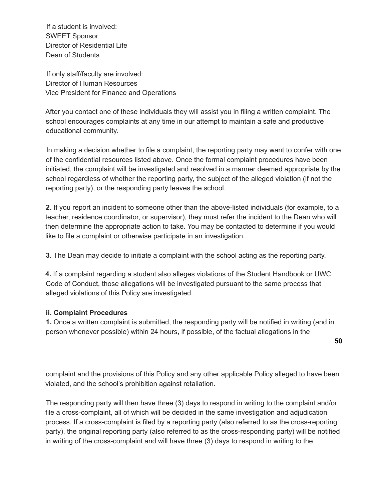If a student is involved: SWEET Sponsor Director of Residential Life Dean of Students

If only staff/faculty are involved: Director of Human Resources Vice President for Finance and Operations

After you contact one of these individuals they will assist you in filing a written complaint. The school encourages complaints at any time in our attempt to maintain a safe and productive educational community.

In making a decision whether to file a complaint, the reporting party may want to confer with one of the confidential resources listed above. Once the formal complaint procedures have been initiated, the complaint will be investigated and resolved in a manner deemed appropriate by the school regardless of whether the reporting party, the subject of the alleged violation (if not the reporting party), or the responding party leaves the school.

**2.** If you report an incident to someone other than the above-listed individuals (for example, to a teacher, residence coordinator, or supervisor), they must refer the incident to the Dean who will then determine the appropriate action to take. You may be contacted to determine if you would like to file a complaint or otherwise participate in an investigation.

**3.** The Dean may decide to initiate a complaint with the school acting as the reporting party.

**4.** If a complaint regarding a student also alleges violations of the Student Handbook or UWC Code of Conduct, those allegations will be investigated pursuant to the same process that alleged violations of this Policy are investigated.

# **ii. Complaint Procedures**

**1.** Once a written complaint is submitted, the responding party will be notified in writing (and in person whenever possible) within 24 hours, if possible, of the factual allegations in the

**50**

complaint and the provisions of this Policy and any other applicable Policy alleged to have been violated, and the school's prohibition against retaliation.

The responding party will then have three (3) days to respond in writing to the complaint and/or file a cross-complaint, all of which will be decided in the same investigation and adjudication process. If a cross-complaint is filed by a reporting party (also referred to as the cross-reporting party), the original reporting party (also referred to as the cross-responding party) will be notified in writing of the cross-complaint and will have three (3) days to respond in writing to the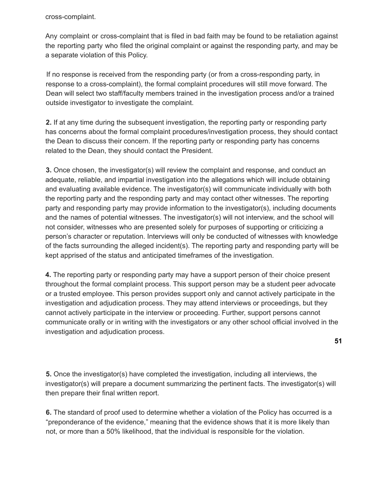cross-complaint.

Any complaint or cross-complaint that is filed in bad faith may be found to be retaliation against the reporting party who filed the original complaint or against the responding party, and may be a separate violation of this Policy.

If no response is received from the responding party (or from a cross-responding party, in response to a cross-complaint), the formal complaint procedures will still move forward. The Dean will select two staff/faculty members trained in the investigation process and/or a trained outside investigator to investigate the complaint.

**2.** If at any time during the subsequent investigation, the reporting party or responding party has concerns about the formal complaint procedures/investigation process, they should contact the Dean to discuss their concern. If the reporting party or responding party has concerns related to the Dean, they should contact the President.

**3.** Once chosen, the investigator(s) will review the complaint and response, and conduct an adequate, reliable, and impartial investigation into the allegations which will include obtaining and evaluating available evidence. The investigator(s) will communicate individually with both the reporting party and the responding party and may contact other witnesses. The reporting party and responding party may provide information to the investigator(s), including documents and the names of potential witnesses. The investigator(s) will not interview, and the school will not consider, witnesses who are presented solely for purposes of supporting or criticizing a person's character or reputation. Interviews will only be conducted of witnesses with knowledge of the facts surrounding the alleged incident(s). The reporting party and responding party will be kept apprised of the status and anticipated timeframes of the investigation.

**4.** The reporting party or responding party may have a support person of their choice present throughout the formal complaint process. This support person may be a student peer advocate or a trusted employee. This person provides support only and cannot actively participate in the investigation and adjudication process. They may attend interviews or proceedings, but they cannot actively participate in the interview or proceeding. Further, support persons cannot communicate orally or in writing with the investigators or any other school official involved in the investigation and adjudication process.

**5.** Once the investigator(s) have completed the investigation, including all interviews, the investigator(s) will prepare a document summarizing the pertinent facts. The investigator(s) will then prepare their final written report.

**6.** The standard of proof used to determine whether a violation of the Policy has occurred is a "preponderance of the evidence," meaning that the evidence shows that it is more likely than not, or more than a 50% likelihood, that the individual is responsible for the violation.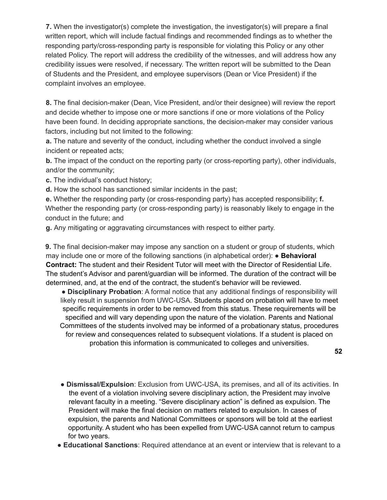**7.** When the investigator(s) complete the investigation, the investigator(s) will prepare a final written report, which will include factual findings and recommended findings as to whether the responding party/cross-responding party is responsible for violating this Policy or any other related Policy. The report will address the credibility of the witnesses, and will address how any credibility issues were resolved, if necessary. The written report will be submitted to the Dean of Students and the President, and employee supervisors (Dean or Vice President) if the complaint involves an employee.

**8.** The final decision-maker (Dean, Vice President, and/or their designee) will review the report and decide whether to impose one or more sanctions if one or more violations of the Policy have been found. In deciding appropriate sanctions, the decision-maker may consider various factors, including but not limited to the following:

**a.** The nature and severity of the conduct, including whether the conduct involved a single incident or repeated acts;

**b.** The impact of the conduct on the reporting party (or cross-reporting party), other individuals, and/or the community;

**c.** The individual's conduct history;

**d.** How the school has sanctioned similar incidents in the past;

**e.** Whether the responding party (or cross-responding party) has accepted responsibility; **f.** Whether the responding party (or cross-responding party) is reasonably likely to engage in the conduct in the future; and

**g.** Any mitigating or aggravating circumstances with respect to either party.

**9.** The final decision-maker may impose any sanction on a student or group of students, which may include one or more of the following sanctions (in alphabetical order): ● **Behavioral Contract:** The student and their Resident Tutor will meet with the Director of Residential Life. The student's Advisor and parent/guardian will be informed. The duration of the contract will be determined, and, at the end of the contract, the student's behavior will be reviewed.

● **Disciplinary Probation**: A formal notice that any additional findings of responsibility will likely result in suspension from UWC-USA. Students placed on probation will have to meet specific requirements in order to be removed from this status. These requirements will be specified and will vary depending upon the nature of the violation. Parents and National Committees of the students involved may be informed of a probationary status, procedures for review and consequences related to subsequent violations. If a student is placed on probation this information is communicated to colleges and universities.

**52**

- **Dismissal/Expulsion**: Exclusion from UWC-USA, its premises, and all of its activities. In the event of a violation involving severe disciplinary action, the President may involve relevant faculty in a meeting. "Severe disciplinary action" is defined as expulsion. The President will make the final decision on matters related to expulsion. In cases of expulsion, the parents and National Committees or sponsors will be told at the earliest opportunity. A student who has been expelled from UWC-USA cannot return to campus for two years.
- **Educational Sanctions**: Required attendance at an event or interview that is relevant to a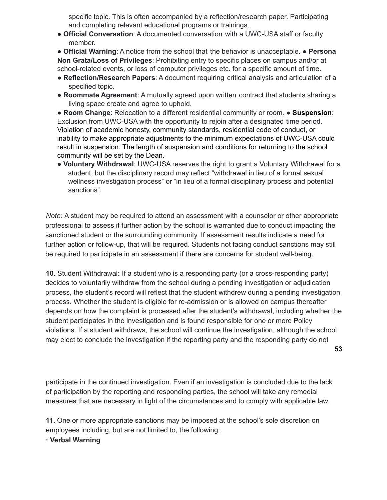specific topic. This is often accompanied by a reflection/research paper. Participating and completing relevant educational programs or trainings.

● **Official Conversation**: A documented conversation with a UWC-USA staff or faculty member.

● **Official Warning**: A notice from the school that the behavior is unacceptable. ● **Persona Non Grata/Loss of Privileges**: Prohibiting entry to specific places on campus and/or at school-related events, or loss of computer privileges etc. for a specific amount of time.

- **Reflection/Research Papers**: A document requiring critical analysis and articulation of a specified topic.
- **Roommate Agreement**: A mutually agreed upon written contract that students sharing a living space create and agree to uphold.

● **Room Change**: Relocation to a different residential community or room. ● **Suspension**: Exclusion from UWC-USA with the opportunity to rejoin after a designated time period. Violation of academic honesty, community standards, residential code of conduct, or inability to make appropriate adjustments to the minimum expectations of UWC-USA could result in suspension. The length of suspension and conditions for returning to the school community will be set by the Dean.

● **Voluntary Withdrawal**: UWC-USA reserves the right to grant a Voluntary Withdrawal for a student, but the disciplinary record may reflect "withdrawal in lieu of a formal sexual wellness investigation process" or "in lieu of a formal disciplinary process and potential sanctions".

*Note:* A student may be required to attend an assessment with a counselor or other appropriate professional to assess if further action by the school is warranted due to conduct impacting the sanctioned student or the surrounding community. If assessment results indicate a need for further action or follow-up, that will be required. Students not facing conduct sanctions may still be required to participate in an assessment if there are concerns for student well-being.

**10.** Student Withdrawal**:** If a student who is a responding party (or a cross-responding party) decides to voluntarily withdraw from the school during a pending investigation or adjudication process, the student's record will reflect that the student withdrew during a pending investigation process. Whether the student is eligible for re-admission or is allowed on campus thereafter depends on how the complaint is processed after the student's withdrawal, including whether the student participates in the investigation and is found responsible for one or more Policy violations. If a student withdraws, the school will continue the investigation, although the school may elect to conclude the investigation if the reporting party and the responding party do not

**53**

participate in the continued investigation. Even if an investigation is concluded due to the lack of participation by the reporting and responding parties, the school will take any remedial measures that are necessary in light of the circumstances and to comply with applicable law.

**11.** One or more appropriate sanctions may be imposed at the school's sole discretion on employees including, but are not limited to, the following:

**· Verbal Warning**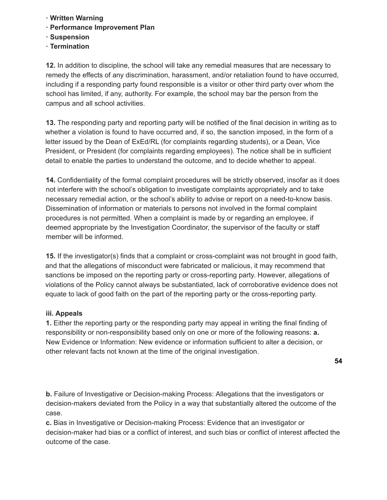- **· Written Warning**
- **· Performance Improvement Plan**
- **· Suspension**
- **· Termination**

**12.** In addition to discipline, the school will take any remedial measures that are necessary to remedy the effects of any discrimination, harassment, and/or retaliation found to have occurred, including if a responding party found responsible is a visitor or other third party over whom the school has limited, if any, authority. For example, the school may bar the person from the campus and all school activities.

**13.** The responding party and reporting party will be notified of the final decision in writing as to whether a violation is found to have occurred and, if so, the sanction imposed, in the form of a letter issued by the Dean of ExEd/RL (for complaints regarding students), or a Dean, Vice President, or President (for complaints regarding employees). The notice shall be in sufficient detail to enable the parties to understand the outcome, and to decide whether to appeal.

**14.** Confidentiality of the formal complaint procedures will be strictly observed, insofar as it does not interfere with the school's obligation to investigate complaints appropriately and to take necessary remedial action, or the school's ability to advise or report on a need-to-know basis. Dissemination of information or materials to persons not involved in the formal complaint procedures is not permitted. When a complaint is made by or regarding an employee, if deemed appropriate by the Investigation Coordinator, the supervisor of the faculty or staff member will be informed.

**15.** If the investigator(s) finds that a complaint or cross-complaint was not brought in good faith, and that the allegations of misconduct were fabricated or malicious, it may recommend that sanctions be imposed on the reporting party or cross-reporting party. However, allegations of violations of the Policy cannot always be substantiated, lack of corroborative evidence does not equate to lack of good faith on the part of the reporting party or the cross-reporting party.

# **iii. Appeals**

**1.** Either the reporting party or the responding party may appeal in writing the final finding of responsibility or non-responsibility based only on one or more of the following reasons: **a.** New Evidence or Information: New evidence or information sufficient to alter a decision, or other relevant facts not known at the time of the original investigation.

**b.** Failure of Investigative or Decision-making Process: Allegations that the investigators or decision-makers deviated from the Policy in a way that substantially altered the outcome of the case.

**c.** Bias in Investigative or Decision-making Process: Evidence that an investigator or decision-maker had bias or a conflict of interest, and such bias or conflict of interest affected the outcome of the case.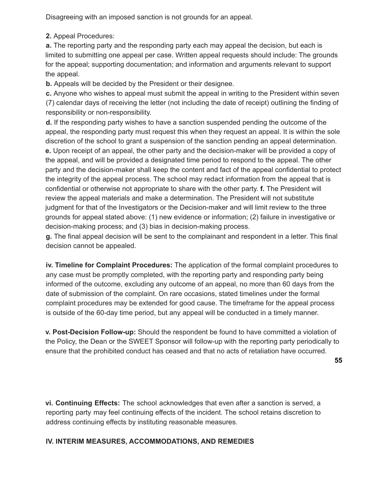Disagreeing with an imposed sanction is not grounds for an appeal.

**2.** Appeal Procedures:

**a.** The reporting party and the responding party each may appeal the decision, but each is limited to submitting one appeal per case. Written appeal requests should include: The grounds for the appeal; supporting documentation; and information and arguments relevant to support the appeal.

**b.** Appeals will be decided by the President or their designee.

**c.** Anyone who wishes to appeal must submit the appeal in writing to the President within seven (7) calendar days of receiving the letter (not including the date of receipt) outlining the finding of responsibility or non-responsibility.

**d.** If the responding party wishes to have a sanction suspended pending the outcome of the appeal, the responding party must request this when they request an appeal. It is within the sole discretion of the school to grant a suspension of the sanction pending an appeal determination. **e.** Upon receipt of an appeal, the other party and the decision-maker will be provided a copy of the appeal, and will be provided a designated time period to respond to the appeal. The other party and the decision-maker shall keep the content and fact of the appeal confidential to protect the integrity of the appeal process. The school may redact information from the appeal that is confidential or otherwise not appropriate to share with the other party. **f.** The President will review the appeal materials and make a determination. The President will not substitute judgment for that of the Investigators or the Decision-maker and will limit review to the three grounds for appeal stated above: (1) new evidence or information; (2) failure in investigative or decision-making process; and (3) bias in decision-making process.

**g.** The final appeal decision will be sent to the complainant and respondent in a letter. This final decision cannot be appealed.

**iv. Timeline for Complaint Procedures:** The application of the formal complaint procedures to any case must be promptly completed, with the reporting party and responding party being informed of the outcome, excluding any outcome of an appeal, no more than 60 days from the date of submission of the complaint. On rare occasions, stated timelines under the formal complaint procedures may be extended for good cause. The timeframe for the appeal process is outside of the 60-day time period, but any appeal will be conducted in a timely manner.

**v. Post-Decision Follow-up:** Should the respondent be found to have committed a violation of the Policy, the Dean or the SWEET Sponsor will follow-up with the reporting party periodically to ensure that the prohibited conduct has ceased and that no acts of retaliation have occurred.

**vi. Continuing Effects:** The school acknowledges that even after a sanction is served, a reporting party may feel continuing effects of the incident. The school retains discretion to address continuing effects by instituting reasonable measures.

# **IV. INTERIM MEASURES, ACCOMMODATIONS, AND REMEDIES**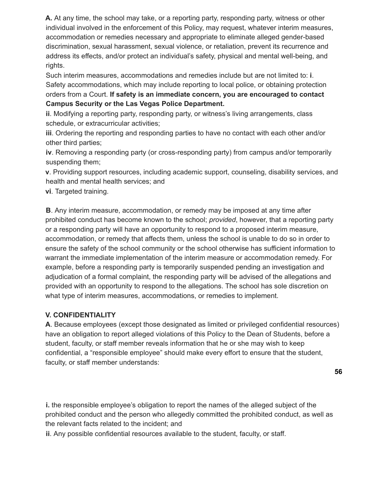**A.** At any time, the school may take, or a reporting party, responding party, witness or other individual involved in the enforcement of this Policy, may request, whatever interim measures, accommodation or remedies necessary and appropriate to eliminate alleged gender-based discrimination, sexual harassment, sexual violence, or retaliation, prevent its recurrence and address its effects, and/or protect an individual's safety, physical and mental well-being, and rights.

Such interim measures, accommodations and remedies include but are not limited to: **i**. Safety accommodations, which may include reporting to local police, or obtaining protection orders from a Court. **If safety is an immediate concern, you are encouraged to contact Campus Security or the Las Vegas Police Department.**

**ii**. Modifying a reporting party, responding party, or witness's living arrangements, class schedule, or extracurricular activities;

**iii**. Ordering the reporting and responding parties to have no contact with each other and/or other third parties;

**iv**. Removing a responding party (or cross-responding party) from campus and/or temporarily suspending them;

**v**. Providing support resources, including academic support, counseling, disability services, and health and mental health services; and

**vi**. Targeted training.

**B**. Any interim measure, accommodation, or remedy may be imposed at any time after prohibited conduct has become known to the school; *provided*, however, that a reporting party or a responding party will have an opportunity to respond to a proposed interim measure, accommodation, or remedy that affects them, unless the school is unable to do so in order to ensure the safety of the school community or the school otherwise has sufficient information to warrant the immediate implementation of the interim measure or accommodation remedy. For example, before a responding party is temporarily suspended pending an investigation and adjudication of a formal complaint, the responding party will be advised of the allegations and provided with an opportunity to respond to the allegations. The school has sole discretion on what type of interim measures, accommodations, or remedies to implement.

# **V. CONFIDENTIALITY**

**A**. Because employees (except those designated as limited or privileged confidential resources) have an obligation to report alleged violations of this Policy to the Dean of Students, before a student, faculty, or staff member reveals information that he or she may wish to keep confidential, a "responsible employee" should make every effort to ensure that the student, faculty, or staff member understands:

**56**

**i.** the responsible employee's obligation to report the names of the alleged subject of the prohibited conduct and the person who allegedly committed the prohibited conduct, as well as the relevant facts related to the incident; and

**ii**. Any possible confidential resources available to the student, faculty, or staff.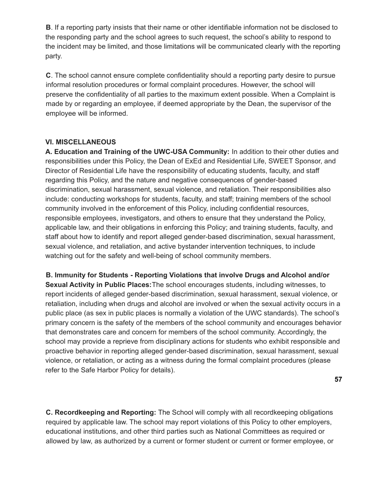**B**. If a reporting party insists that their name or other identifiable information not be disclosed to the responding party and the school agrees to such request, the school's ability to respond to the incident may be limited, and those limitations will be communicated clearly with the reporting party.

**C**. The school cannot ensure complete confidentiality should a reporting party desire to pursue informal resolution procedures or formal complaint procedures. However, the school will preserve the confidentiality of all parties to the maximum extent possible. When a Complaint is made by or regarding an employee, if deemed appropriate by the Dean, the supervisor of the employee will be informed.

### **VI. MISCELLANEOUS**

**A. Education and Training of the UWC-USA Community:** In addition to their other duties and responsibilities under this Policy, the Dean of ExEd and Residential Life, SWEET Sponsor, and Director of Residential Life have the responsibility of educating students, faculty, and staff regarding this Policy, and the nature and negative consequences of gender-based discrimination, sexual harassment, sexual violence, and retaliation. Their responsibilities also include: conducting workshops for students, faculty, and staff; training members of the school community involved in the enforcement of this Policy, including confidential resources, responsible employees, investigators, and others to ensure that they understand the Policy, applicable law, and their obligations in enforcing this Policy; and training students, faculty, and staff about how to identify and report alleged gender-based discrimination, sexual harassment, sexual violence, and retaliation, and active bystander intervention techniques, to include watching out for the safety and well-being of school community members.

**B. Immunity for Students - Reporting Violations that involve Drugs and Alcohol and/or Sexual Activity in Public Places:**The school encourages students, including witnesses, to report incidents of alleged gender-based discrimination, sexual harassment, sexual violence, or retaliation, including when drugs and alcohol are involved or when the sexual activity occurs in a public place (as sex in public places is normally a violation of the UWC standards). The school's primary concern is the safety of the members of the school community and encourages behavior that demonstrates care and concern for members of the school community. Accordingly, the school may provide a reprieve from disciplinary actions for students who exhibit responsible and proactive behavior in reporting alleged gender-based discrimination, sexual harassment, sexual violence, or retaliation, or acting as a witness during the formal complaint procedures (please refer to the Safe Harbor Policy for details).

**57**

**C. Recordkeeping and Reporting:** The School will comply with all recordkeeping obligations required by applicable law. The school may report violations of this Policy to other employers, educational institutions, and other third parties such as National Committees as required or allowed by law, as authorized by a current or former student or current or former employee, or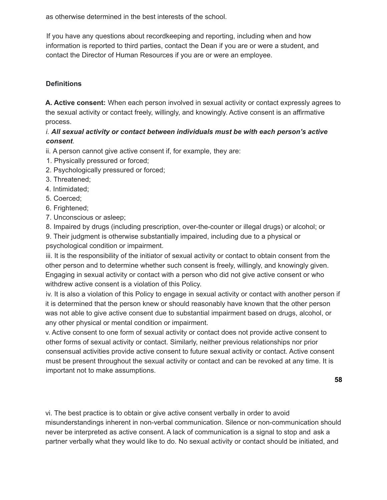as otherwise determined in the best interests of the school.

If you have any questions about recordkeeping and reporting, including when and how information is reported to third parties, contact the Dean if you are or were a student, and contact the Director of Human Resources if you are or were an employee.

# **Definitions**

**A. Active consent:** When each person involved in sexual activity or contact expressly agrees to the sexual activity or contact freely, willingly, and knowingly. Active consent is an affirmative process.

# *i. All sexual activity or contact between individuals must be with each person's active consent*.

- ii. A person cannot give active consent if, for example, they are:
- 1. Physically pressured or forced;
- 2. Psychologically pressured or forced;
- 3. Threatened;
- 4. Intimidated;
- 5. Coerced;
- 6. Frightened;
- 7. Unconscious or asleep;
- 8. Impaired by drugs (including prescription, over-the-counter or illegal drugs) or alcohol; or
- 9. Their judgment is otherwise substantially impaired, including due to a physical or psychological condition or impairment.

iii. It is the responsibility of the initiator of sexual activity or contact to obtain consent from the other person and to determine whether such consent is freely, willingly, and knowingly given. Engaging in sexual activity or contact with a person who did not give active consent or who withdrew active consent is a violation of this Policy.

iv. It is also a violation of this Policy to engage in sexual activity or contact with another person if it is determined that the person knew or should reasonably have known that the other person was not able to give active consent due to substantial impairment based on drugs, alcohol, or any other physical or mental condition or impairment.

v. Active consent to one form of sexual activity or contact does not provide active consent to other forms of sexual activity or contact. Similarly, neither previous relationships nor prior consensual activities provide active consent to future sexual activity or contact. Active consent must be present throughout the sexual activity or contact and can be revoked at any time. It is important not to make assumptions.

vi. The best practice is to obtain or give active consent verbally in order to avoid misunderstandings inherent in non-verbal communication. Silence or non-communication should never be interpreted as active consent. A lack of communication is a signal to stop and ask a partner verbally what they would like to do. No sexual activity or contact should be initiated, and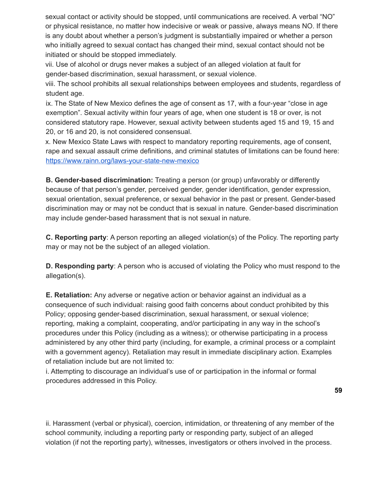sexual contact or activity should be stopped, until communications are received. A verbal "NO" or physical resistance, no matter how indecisive or weak or passive, always means NO. If there is any doubt about whether a person's judgment is substantially impaired or whether a person who initially agreed to sexual contact has changed their mind, sexual contact should not be initiated or should be stopped immediately.

vii. Use of alcohol or drugs never makes a subject of an alleged violation at fault for gender-based discrimination, sexual harassment, or sexual violence.

viii. The school prohibits all sexual relationships between employees and students, regardless of student age.

ix. The State of New Mexico defines the age of consent as 17, with a four-year "close in age exemption". Sexual activity within four years of age, when one student is 18 or over, is not considered statutory rape. However, sexual activity between students aged 15 and 19, 15 and 20, or 16 and 20, is not considered consensual.

x. New Mexico State Laws with respect to mandatory reporting requirements, age of consent, rape and sexual assault crime definitions, and criminal statutes of limitations can be found here: https://www.rainn.org/laws-your-state-new-mexico

**B. Gender-based discrimination:** Treating a person (or group) unfavorably or differently because of that person's gender, perceived gender, gender identification, gender expression, sexual orientation, sexual preference, or sexual behavior in the past or present. Gender-based discrimination may or may not be conduct that is sexual in nature. Gender-based discrimination may include gender-based harassment that is not sexual in nature.

**C. Reporting party**: A person reporting an alleged violation(s) of the Policy. The reporting party may or may not be the subject of an alleged violation.

**D. Responding party**: A person who is accused of violating the Policy who must respond to the allegation(s).

**E. Retaliation:** Any adverse or negative action or behavior against an individual as a consequence of such individual: raising good faith concerns about conduct prohibited by this Policy; opposing gender-based discrimination, sexual harassment, or sexual violence; reporting, making a complaint, cooperating, and/or participating in any way in the school's procedures under this Policy (including as a witness); or otherwise participating in a process administered by any other third party (including, for example, a criminal process or a complaint with a government agency). Retaliation may result in immediate disciplinary action. Examples of retaliation include but are not limited to:

i. Attempting to discourage an individual's use of or participation in the informal or formal procedures addressed in this Policy.

ii. Harassment (verbal or physical), coercion, intimidation, or threatening of any member of the school community, including a reporting party or responding party, subject of an alleged violation (if not the reporting party), witnesses, investigators or others involved in the process.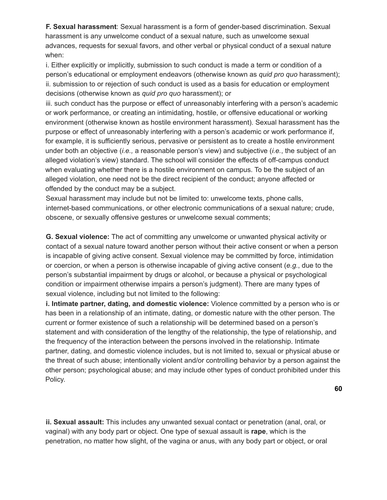**F. Sexual harassment**: Sexual harassment is a form of gender-based discrimination. Sexual harassment is any unwelcome conduct of a sexual nature, such as unwelcome sexual advances, requests for sexual favors, and other verbal or physical conduct of a sexual nature when:

i. Either explicitly or implicitly, submission to such conduct is made a term or condition of a person's educational or employment endeavors (otherwise known as *quid pro quo* harassment); ii. submission to or rejection of such conduct is used as a basis for education or employment decisions (otherwise known as *quid pro quo* harassment); or

iii. such conduct has the purpose or effect of unreasonably interfering with a person's academic or work performance, or creating an intimidating, hostile, or offensive educational or working environment (otherwise known as hostile environment harassment). Sexual harassment has the purpose or effect of unreasonably interfering with a person's academic or work performance if, for example, it is sufficiently serious, pervasive or persistent as to create a hostile environment under both an objective (*i.e.,* a reasonable person's view) and subjective (*i.e.*, the subject of an alleged violation's view) standard. The school will consider the effects of off-campus conduct when evaluating whether there is a hostile environment on campus. To be the subject of an alleged violation, one need not be the direct recipient of the conduct; anyone affected or offended by the conduct may be a subject.

Sexual harassment may include but not be limited to: unwelcome texts, phone calls, internet-based communications, or other electronic communications of a sexual nature; crude, obscene, or sexually offensive gestures or unwelcome sexual comments;

**G. Sexual violence:** The act of committing any unwelcome or unwanted physical activity or contact of a sexual nature toward another person without their active consent or when a person is incapable of giving active consent. Sexual violence may be committed by force, intimidation or coercion, or when a person is otherwise incapable of giving active consent (*e.g.*, due to the person's substantial impairment by drugs or alcohol, or because a physical or psychological condition or impairment otherwise impairs a person's judgment). There are many types of sexual violence, including but not limited to the following:

**i. Intimate partner, dating, and domestic violence:** Violence committed by a person who is or has been in a relationship of an intimate, dating, or domestic nature with the other person. The current or former existence of such a relationship will be determined based on a person's statement and with consideration of the lengthy of the relationship, the type of relationship, and the frequency of the interaction between the persons involved in the relationship. Intimate partner, dating, and domestic violence includes, but is not limited to, sexual or physical abuse or the threat of such abuse; intentionally violent and/or controlling behavior by a person against the other person; psychological abuse; and may include other types of conduct prohibited under this Policy.

**60**

**ii. Sexual assault:** This includes any unwanted sexual contact or penetration (anal, oral, or vaginal) with any body part or object. One type of sexual assault is **rape**, which is the penetration, no matter how slight, of the vagina or anus, with any body part or object, or oral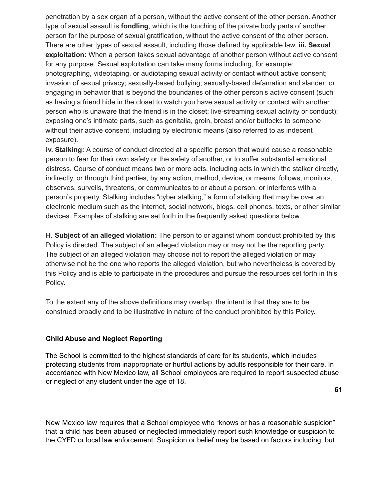penetration by a sex organ of a person, without the active consent of the other person. Another type of sexual assault is **fondling**, which is the touching of the private body parts of another person for the purpose of sexual gratification, without the active consent of the other person. There are other types of sexual assault, including those defined by applicable law. **iii. Sexual exploitation:** When a person takes sexual advantage of another person without active consent for any purpose. Sexual exploitation can take many forms including, for example: photographing, videotaping, or audiotaping sexual activity or contact without active consent; invasion of sexual privacy; sexually-based bullying; sexually-based defamation and slander; or engaging in behavior that is beyond the boundaries of the other person's active consent (such as having a friend hide in the closet to watch you have sexual activity or contact with another person who is unaware that the friend is in the closet; live-streaming sexual activity or conduct); exposing one's intimate parts, such as genitalia, groin, breast and/or buttocks to someone without their active consent, including by electronic means (also referred to as indecent exposure).

**iv. Stalking:** A course of conduct directed at a specific person that would cause a reasonable person to fear for their own safety or the safety of another, or to suffer substantial emotional distress. Course of conduct means two or more acts, including acts in which the stalker directly, indirectly, or through third parties, by any action, method, device, or means, follows, monitors, observes, surveils, threatens, or communicates to or about a person, or interferes with a person's property. Stalking includes "cyber stalking," a form of stalking that may be over an electronic medium such as the internet, social network, blogs, cell phones, texts, or other similar devices. Examples of stalking are set forth in the frequently asked questions below.

**H. Subject of an alleged violation:** The person to or against whom conduct prohibited by this Policy is directed. The subject of an alleged violation may or may not be the reporting party. The subject of an alleged violation may choose not to report the alleged violation or may otherwise not be the one who reports the alleged violation, but who nevertheless is covered by this Policy and is able to participate in the procedures and pursue the resources set forth in this Policy.

To the extent any of the above definitions may overlap, the intent is that they are to be construed broadly and to be illustrative in nature of the conduct prohibited by this Policy.

# **Child Abuse and Neglect Reporting**

The School is committed to the highest standards of care for its students, which includes protecting students from inappropriate or hurtful actions by adults responsible for their care. In accordance with New Mexico law, all School employees are required to report suspected abuse or neglect of any student under the age of 18.

**61**

New Mexico law requires that a School employee who "knows or has a reasonable suspicion" that a child has been abused or neglected immediately report such knowledge or suspicion to the CYFD or local law enforcement. Suspicion or belief may be based on factors including, but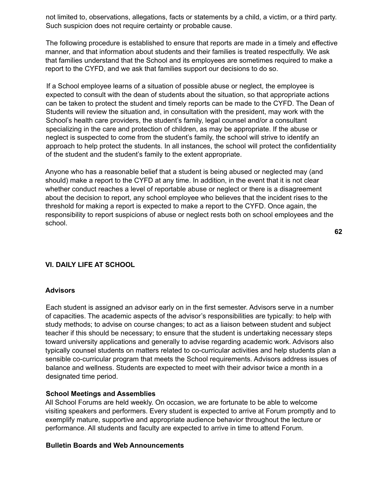not limited to, observations, allegations, facts or statements by a child, a victim, or a third party. Such suspicion does not require certainty or probable cause.

The following procedure is established to ensure that reports are made in a timely and effective manner, and that information about students and their families is treated respectfully. We ask that families understand that the School and its employees are sometimes required to make a report to the CYFD, and we ask that families support our decisions to do so.

If a School employee learns of a situation of possible abuse or neglect, the employee is expected to consult with the dean of students about the situation, so that appropriate actions can be taken to protect the student and timely reports can be made to the CYFD. The Dean of Students will review the situation and, in consultation with the president, may work with the School's health care providers, the student's family, legal counsel and/or a consultant specializing in the care and protection of children, as may be appropriate. If the abuse or neglect is suspected to come from the student's family, the school will strive to identify an approach to help protect the students. In all instances, the school will protect the confidentiality of the student and the student's family to the extent appropriate.

Anyone who has a reasonable belief that a student is being abused or neglected may (and should) make a report to the CYFD at any time. In addition, in the event that it is not clear whether conduct reaches a level of reportable abuse or neglect or there is a disagreement about the decision to report, any school employee who believes that the incident rises to the threshold for making a report is expected to make a report to the CYFD. Once again, the responsibility to report suspicions of abuse or neglect rests both on school employees and the school.

# **VI. DAILY LIFE AT SCHOOL**

### **Advisors**

Each student is assigned an advisor early on in the first semester. Advisors serve in a number of capacities. The academic aspects of the advisor's responsibilities are typically: to help with study methods; to advise on course changes; to act as a liaison between student and subject teacher if this should be necessary; to ensure that the student is undertaking necessary steps toward university applications and generally to advise regarding academic work. Advisors also typically counsel students on matters related to co-curricular activities and help students plan a sensible co-curricular program that meets the School requirements. Advisors address issues of balance and wellness. Students are expected to meet with their advisor twice a month in a designated time period.

#### **School Meetings and Assemblies**

All School Forums are held weekly. On occasion, we are fortunate to be able to welcome visiting speakers and performers. Every student is expected to arrive at Forum promptly and to exemplify mature, supportive and appropriate audience behavior throughout the lecture or performance. All students and faculty are expected to arrive in time to attend Forum.

#### **Bulletin Boards and Web Announcements**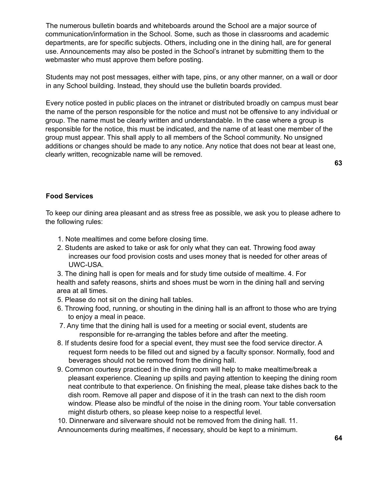The numerous bulletin boards and whiteboards around the School are a major source of communication/information in the School. Some, such as those in classrooms and academic departments, are for specific subjects. Others, including one in the dining hall, are for general use. Announcements may also be posted in the School's intranet by submitting them to the webmaster who must approve them before posting.

Students may not post messages, either with tape, pins, or any other manner, on a wall or door in any School building. Instead, they should use the bulletin boards provided.

Every notice posted in public places on the intranet or distributed broadly on campus must bear the name of the person responsible for the notice and must not be offensive to any individual or group. The name must be clearly written and understandable. In the case where a group is responsible for the notice, this must be indicated, and the name of at least one member of the group must appear. This shall apply to all members of the School community. No unsigned additions or changes should be made to any notice. Any notice that does not bear at least one, clearly written, recognizable name will be removed.

**63**

### **Food Services**

To keep our dining area pleasant and as stress free as possible, we ask you to please adhere to the following rules:

- 1. Note mealtimes and come before closing time.
- 2. Students are asked to take or ask for only what they can eat. Throwing food away increases our food provision costs and uses money that is needed for other areas of UWC-USA.

3. The dining hall is open for meals and for study time outside of mealtime. 4. For health and safety reasons, shirts and shoes must be worn in the dining hall and serving area at all times.

- 5. Please do not sit on the dining hall tables.
- 6. Throwing food, running, or shouting in the dining hall is an affront to those who are trying to enjoy a meal in peace.
- 7. Any time that the dining hall is used for a meeting or social event, students are responsible for re-arranging the tables before and after the meeting.
- 8. If students desire food for a special event, they must see the food service director. A request form needs to be filled out and signed by a faculty sponsor. Normally, food and beverages should not be removed from the dining hall.
- 9. Common courtesy practiced in the dining room will help to make mealtime/break a pleasant experience. Cleaning up spills and paying attention to keeping the dining room neat contribute to that experience. On finishing the meal, please take dishes back to the dish room. Remove all paper and dispose of it in the trash can next to the dish room window. Please also be mindful of the noise in the dining room. Your table conversation might disturb others, so please keep noise to a respectful level.

10. Dinnerware and silverware should not be removed from the dining hall. 11. Announcements during mealtimes, if necessary, should be kept to a minimum.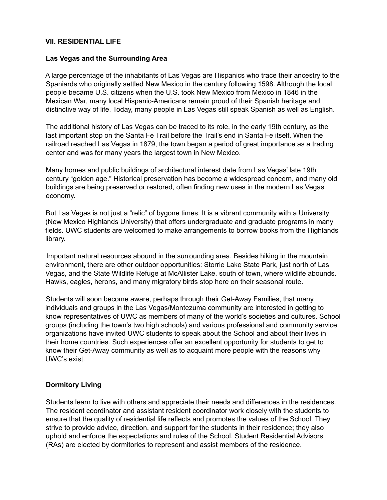### **VII. RESIDENTIAL LIFE**

### **Las Vegas and the Surrounding Area**

A large percentage of the inhabitants of Las Vegas are Hispanics who trace their ancestry to the Spaniards who originally settled New Mexico in the century following 1598. Although the local people became U.S. citizens when the U.S. took New Mexico from Mexico in 1846 in the Mexican War, many local Hispanic-Americans remain proud of their Spanish heritage and distinctive way of life. Today, many people in Las Vegas still speak Spanish as well as English.

The additional history of Las Vegas can be traced to its role, in the early 19th century, as the last important stop on the Santa Fe Trail before the Trail's end in Santa Fe itself. When the railroad reached Las Vegas in 1879, the town began a period of great importance as a trading center and was for many years the largest town in New Mexico.

Many homes and public buildings of architectural interest date from Las Vegas' late 19th century "golden age." Historical preservation has become a widespread concern, and many old buildings are being preserved or restored, often finding new uses in the modern Las Vegas economy.

But Las Vegas is not just a "relic" of bygone times. It is a vibrant community with a University (New Mexico Highlands University) that offers undergraduate and graduate programs in many fields. UWC students are welcomed to make arrangements to borrow books from the Highlands library.

Important natural resources abound in the surrounding area. Besides hiking in the mountain environment, there are other outdoor opportunities: Storrie Lake State Park, just north of Las Vegas, and the State Wildlife Refuge at McAllister Lake, south of town, where wildlife abounds. Hawks, eagles, herons, and many migratory birds stop here on their seasonal route.

Students will soon become aware, perhaps through their Get-Away Families, that many individuals and groups in the Las Vegas/Montezuma community are interested in getting to know representatives of UWC as members of many of the world's societies and cultures. School groups (including the town's two high schools) and various professional and community service organizations have invited UWC students to speak about the School and about their lives in their home countries. Such experiences offer an excellent opportunity for students to get to know their Get-Away community as well as to acquaint more people with the reasons why UWC's exist.

### **Dormitory Living**

Students learn to live with others and appreciate their needs and differences in the residences. The resident coordinator and assistant resident coordinator work closely with the students to ensure that the quality of residential life reflects and promotes the values of the School. They strive to provide advice, direction, and support for the students in their residence; they also uphold and enforce the expectations and rules of the School. Student Residential Advisors (RAs) are elected by dormitories to represent and assist members of the residence.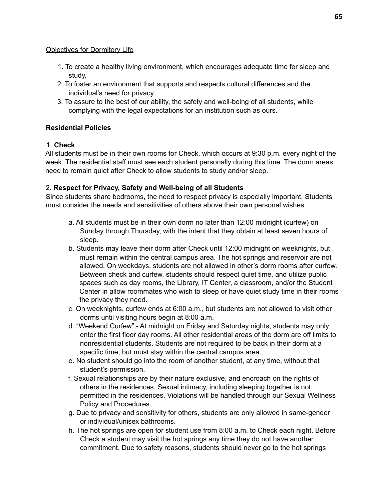## Objectives for Dormitory Life

- 1. To create a healthy living environment, which encourages adequate time for sleep and study.
- 2. To foster an environment that supports and respects cultural differences and the individual's need for privacy.
- 3. To assure to the best of our ability, the safety and well-being of all students, while complying with the legal expectations for an institution such as ours.

# **Residential Policies**

# 1. **Check**

All students must be in their own rooms for Check, which occurs at 9:30 p.m. every night of the week. The residential staff must see each student personally during this time. The dorm areas need to remain quiet after Check to allow students to study and/or sleep.

# 2. **Respect for Privacy, Safety and Well-being of all Students**

Since students share bedrooms, the need to respect privacy is especially important. Students must consider the needs and sensitivities of others above their own personal wishes.

- a. All students must be in their own dorm no later than 12:00 midnight (curfew) on Sunday through Thursday, with the intent that they obtain at least seven hours of sleep.
- b. Students may leave their dorm after Check until 12:00 midnight on weeknights, but must remain within the central campus area. The hot springs and reservoir are not allowed. On weekdays, students are not allowed in other's dorm rooms after curfew. Between check and curfew, students should respect quiet time, and utilize public spaces such as day rooms, the Library, IT Center, a classroom, and/or the Student Center in allow roommates who wish to sleep or have quiet study time in their rooms the privacy they need.
- c. On weeknights, curfew ends at 6:00 a.m., but students are not allowed to visit other dorms until visiting hours begin at 8:00 a.m.
- d. "Weekend Curfew" At midnight on Friday and Saturday nights, students may only enter the first floor day rooms. All other residential areas of the dorm are off limits to nonresidential students. Students are not required to be back in their dorm at a specific time, but must stay within the central campus area.
- e. No student should go into the room of another student, at any time, without that student's permission.
- f. Sexual relationships are by their nature exclusive, and encroach on the rights of others in the residences. Sexual intimacy, including sleeping together is not permitted in the residences. Violations will be handled through our Sexual Wellness Policy and Procedures.
- g. Due to privacy and sensitivity for others, students are only allowed in same-gender or individual/unisex bathrooms.
- h. The hot springs are open for student use from 8:00 a.m. to Check each night. Before Check a student may visit the hot springs any time they do not have another commitment. Due to safety reasons, students should never go to the hot springs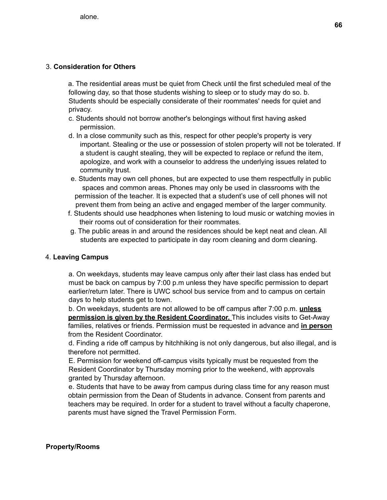### 3. **Consideration for Others**

a. The residential areas must be quiet from Check until the first scheduled meal of the following day, so that those students wishing to sleep or to study may do so. b. Students should be especially considerate of their roommates' needs for quiet and privacy.

- c. Students should not borrow another's belongings without first having asked permission.
- d. In a close community such as this, respect for other people's property is very important. Stealing or the use or possession of stolen property will not be tolerated. If a student is caught stealing, they will be expected to replace or refund the item, apologize, and work with a counselor to address the underlying issues related to community trust.
- e. Students may own cell phones, but are expected to use them respectfully in public spaces and common areas. Phones may only be used in classrooms with the permission of the teacher. It is expected that a student's use of cell phones will not prevent them from being an active and engaged member of the larger community.
- f. Students should use headphones when listening to loud music or watching movies in their rooms out of consideration for their roommates.
- g. The public areas in and around the residences should be kept neat and clean. All students are expected to participate in day room cleaning and dorm cleaning.

### 4. **Leaving Campus**

a. On weekdays, students may leave campus only after their last class has ended but must be back on campus by 7:00 p.m unless they have specific permission to depart earlier/return later. There is UWC school bus service from and to campus on certain days to help students get to town.

b. On weekdays, students are not allowed to be off campus after 7:00 p.m. **unless permission is given by the Resident Coordinator.** This includes visits to Get-Away families, relatives or friends. Permission must be requested in advance and **in person** from the Resident Coordinator.

d. Finding a ride off campus by hitchhiking is not only dangerous, but also illegal, and is therefore not permitted.

E. Permission for weekend off-campus visits typically must be requested from the Resident Coordinator by Thursday morning prior to the weekend, with approvals granted by Thursday afternoon.

e. Students that have to be away from campus during class time for any reason must obtain permission from the Dean of Students in advance. Consent from parents and teachers may be required. In order for a student to travel without a faculty chaperone, parents must have signed the Travel Permission Form.

### **Property/Rooms**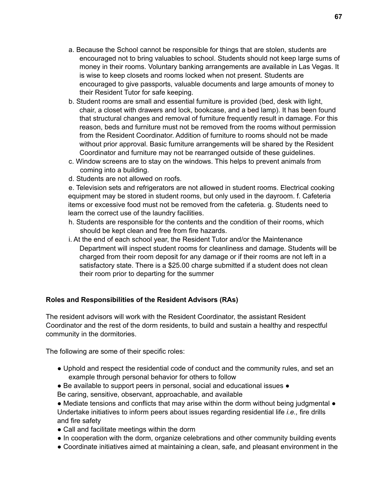- a. Because the School cannot be responsible for things that are stolen, students are encouraged not to bring valuables to school. Students should not keep large sums of money in their rooms. Voluntary banking arrangements are available in Las Vegas. It is wise to keep closets and rooms locked when not present. Students are encouraged to give passports, valuable documents and large amounts of money to their Resident Tutor for safe keeping.
- b. Student rooms are small and essential furniture is provided (bed, desk with light, chair, a closet with drawers and lock, bookcase, and a bed lamp). It has been found that structural changes and removal of furniture frequently result in damage. For this reason, beds and furniture must not be removed from the rooms without permission from the Resident Coordinator. Addition of furniture to rooms should not be made without prior approval. Basic furniture arrangements will be shared by the Resident Coordinator and furniture may not be rearranged outside of these guidelines.
- c. Window screens are to stay on the windows. This helps to prevent animals from coming into a building.
- d. Students are not allowed on roofs.

e. Television sets and refrigerators are not allowed in student rooms. Electrical cooking equipment may be stored in student rooms, but only used in the dayroom. f. Cafeteria items or excessive food must not be removed from the cafeteria. g. Students need to learn the correct use of the laundry facilities.

- h. Students are responsible for the contents and the condition of their rooms, which should be kept clean and free from fire hazards.
- i. At the end of each school year, the Resident Tutor and/or the Maintenance Department will inspect student rooms for cleanliness and damage. Students will be charged from their room deposit for any damage or if their rooms are not left in a satisfactory state. There is a \$25.00 charge submitted if a student does not clean their room prior to departing for the summer

### **Roles and Responsibilities of the Resident Advisors (RAs)**

The resident advisors will work with the Resident Coordinator, the assistant Resident Coordinator and the rest of the dorm residents, to build and sustain a healthy and respectful community in the dormitories.

The following are some of their specific roles:

- Uphold and respect the residential code of conduct and the community rules, and set an example through personal behavior for others to follow
- Be available to support peers in personal, social and educational issues ●
- Be caring, sensitive, observant, approachable, and available

● Mediate tensions and conflicts that may arise within the dorm without being judgmental ● Undertake initiatives to inform peers about issues regarding residential life *i.e.,* fire drills and fire safety

- Call and facilitate meetings within the dorm
- In cooperation with the dorm, organize celebrations and other community building events
- Coordinate initiatives aimed at maintaining a clean, safe, and pleasant environment in the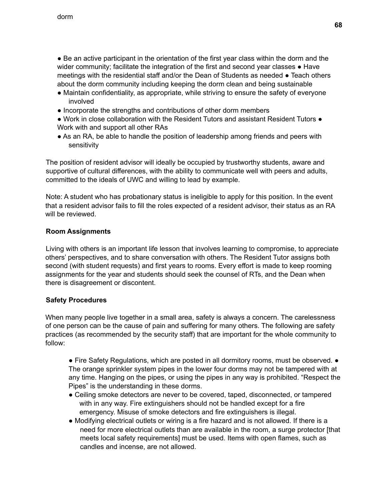• Be an active participant in the orientation of the first year class within the dorm and the wider community; facilitate the integration of the first and second year classes  $\bullet$  Have meetings with the residential staff and/or the Dean of Students as needed ● Teach others about the dorm community including keeping the dorm clean and being sustainable

- Maintain confidentiality, as appropriate, while striving to ensure the safety of everyone involved
- Incorporate the strengths and contributions of other dorm members
- Work in close collaboration with the Resident Tutors and assistant Resident Tutors Work with and support all other RAs
- As an RA, be able to handle the position of leadership among friends and peers with sensitivity

The position of resident advisor will ideally be occupied by trustworthy students, aware and supportive of cultural differences, with the ability to communicate well with peers and adults, committed to the ideals of UWC and willing to lead by example.

Note: A student who has probationary status is ineligible to apply for this position. In the event that a resident advisor fails to fill the roles expected of a resident advisor, their status as an RA will be reviewed.

## **Room Assignments**

Living with others is an important life lesson that involves learning to compromise, to appreciate others' perspectives, and to share conversation with others. The Resident Tutor assigns both second (with student requests) and first years to rooms. Every effort is made to keep rooming assignments for the year and students should seek the counsel of RTs, and the Dean when there is disagreement or discontent.

### **Safety Procedures**

When many people live together in a small area, safety is always a concern. The carelessness of one person can be the cause of pain and suffering for many others. The following are safety practices (as recommended by the security staff) that are important for the whole community to follow:

• Fire Safety Regulations, which are posted in all dormitory rooms, must be observed. • The orange sprinkler system pipes in the lower four dorms may not be tampered with at any time. Hanging on the pipes, or using the pipes in any way is prohibited. "Respect the Pipes" is the understanding in these dorms.

- Ceiling smoke detectors are never to be covered, taped, disconnected, or tampered with in any way. Fire extinguishers should not be handled except for a fire emergency. Misuse of smoke detectors and fire extinguishers is illegal.
- Modifying electrical outlets or wiring is a fire hazard and is not allowed. If there is a need for more electrical outlets than are available in the room, a surge protector [that meets local safety requirements] must be used. Items with open flames, such as candles and incense, are not allowed.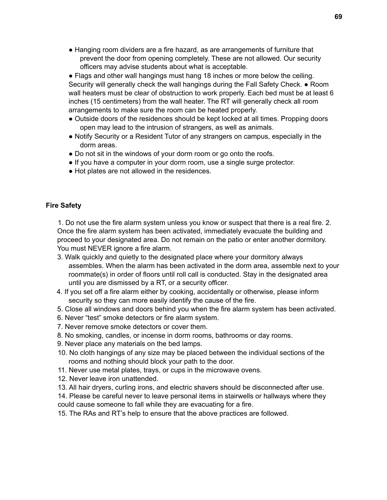• Hanging room dividers are a fire hazard, as are arrangements of furniture that prevent the door from opening completely. These are not allowed. Our security officers may advise students about what is acceptable.

● Flags and other wall hangings must hang 18 inches or more below the ceiling. Security will generally check the wall hangings during the Fall Safety Check. ● Room wall heaters must be clear of obstruction to work properly. Each bed must be at least 6 inches (15 centimeters) from the wall heater. The RT will generally check all room arrangements to make sure the room can be heated properly.

- Outside doors of the residences should be kept locked at all times. Propping doors open may lead to the intrusion of strangers, as well as animals.
- Notify Security or a Resident Tutor of any strangers on campus, especially in the dorm areas.
- Do not sit in the windows of your dorm room or go onto the roofs.
- If you have a computer in your dorm room, use a single surge protector.
- Hot plates are not allowed in the residences.

## **Fire Safety**

1. Do not use the fire alarm system unless you know or suspect that there is a real fire. 2. Once the fire alarm system has been activated, immediately evacuate the building and proceed to your designated area. Do not remain on the patio or enter another dormitory. You must NEVER ignore a fire alarm.

- 3. Walk quickly and quietly to the designated place where your dormitory always assembles. When the alarm has been activated in the dorm area, assemble next to your roommate(s) in order of floors until roll call is conducted. Stay in the designated area until you are dismissed by a RT, or a security officer.
- 4. If you set off a fire alarm either by cooking, accidentally or otherwise, please inform security so they can more easily identify the cause of the fire.
- 5. Close all windows and doors behind you when the fire alarm system has been activated.
- 6. Never "test" smoke detectors or fire alarm system.
- 7. Never remove smoke detectors or cover them.
- 8. No smoking, candles, or incense in dorm rooms, bathrooms or day rooms.
- 9. Never place any materials on the bed lamps.
- 10. No cloth hangings of any size may be placed between the individual sections of the rooms and nothing should block your path to the door.
- 11. Never use metal plates, trays, or cups in the microwave ovens.
- 12. Never leave iron unattended.
- 13. All hair dryers, curling irons, and electric shavers should be disconnected after use.

14. Please be careful never to leave personal items in stairwells or hallways where they could cause someone to fall while they are evacuating for a fire.

15. The RAs and RT's help to ensure that the above practices are followed.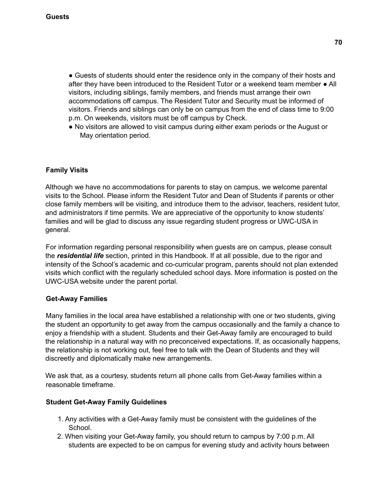• Guests of students should enter the residence only in the company of their hosts and after they have been introduced to the Resident Tutor or a weekend team member ● All visitors, including siblings, family members, and friends must arrange their own accommodations off campus. The Resident Tutor and Security must be informed of visitors. Friends and siblings can only be on campus from the end of class time to 9:00 p.m. On weekends, visitors must be off campus by Check.

● No visitors are allowed to visit campus during either exam periods or the August or May orientation period.

# **Family Visits**

Although we have no accommodations for parents to stay on campus, we welcome parental visits to the School. Please inform the Resident Tutor and Dean of Students if parents or other close family members will be visiting, and introduce them to the advisor, teachers, resident tutor, and administrators if time permits. We are appreciative of the opportunity to know students' families and will be glad to discuss any issue regarding student progress or UWC-USA in general.

For information regarding personal responsibility when guests are on campus, please consult the *residential life* section, printed in this Handbook. If at all possible, due to the rigor and intensity of the School's academic and co-curricular program, parents should not plan extended visits which conflict with the regularly scheduled school days. More information is posted on the UWC-USA website under the parent portal.

# **Get-Away Families**

Many families in the local area have established a relationship with one or two students, giving the student an opportunity to get away from the campus occasionally and the family a chance to enjoy a friendship with a student. Students and their Get-Away family are encouraged to build the relationship in a natural way with no preconceived expectations. If, as occasionally happens, the relationship is not working out, feel free to talk with the Dean of Students and they will discreetly and diplomatically make new arrangements.

We ask that, as a courtesy, students return all phone calls from Get-Away families within a reasonable timeframe.

### **Student Get-Away Family Guidelines**

- 1. Any activities with a Get-Away family must be consistent with the guidelines of the School.
- 2. When visiting your Get-Away family, you should return to campus by 7:00 p.m. All students are expected to be on campus for evening study and activity hours between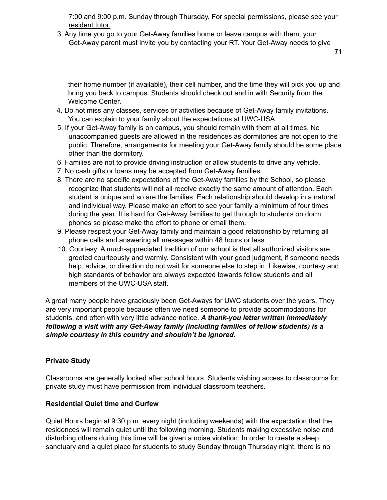7:00 and 9:00 p.m. Sunday through Thursday. For special permissions, please see your resident tutor.

3. Any time you go to your Get-Away families home or leave campus with them, your Get-Away parent must invite you by contacting your RT. Your Get-Away needs to give

**71**

their home number (if available), their cell number, and the time they will pick you up and bring you back to campus. Students should check out and in with Security from the Welcome Center.

- 4. Do not miss any classes, services or activities because of Get-Away family invitations. You can explain to your family about the expectations at UWC-USA.
- 5. If your Get-Away family is on campus, you should remain with them at all times. No unaccompanied guests are allowed in the residences as dormitories are not open to the public. Therefore, arrangements for meeting your Get-Away family should be some place other than the dormitory.
- 6. Families are not to provide driving instruction or allow students to drive any vehicle.
- 7. No cash gifts or loans may be accepted from Get-Away families.
- 8. There are no specific expectations of the Get-Away families by the School, so please recognize that students will not all receive exactly the same amount of attention. Each student is unique and so are the families. Each relationship should develop in a natural and individual way. Please make an effort to see your family a minimum of four times during the year. It is hard for Get-Away families to get through to students on dorm phones so please make the effort to phone or email them.
- 9. Please respect your Get-Away family and maintain a good relationship by returning all phone calls and answering all messages within 48 hours or less.
- 10. Courtesy: A much-appreciated tradition of our school is that all authorized visitors are greeted courteously and warmly. Consistent with your good judgment, if someone needs help, advice, or direction do not wait for someone else to step in. Likewise, courtesy and high standards of behavior are always expected towards fellow students and all members of the UWC-USA staff.

A great many people have graciously been Get-Aways for UWC students over the years. They are very important people because often we need someone to provide accommodations for students, and often with very little advance notice. *A thank-you letter written immediately following a visit with any Get-Away family (including families of fellow students) is a simple courtesy in this country and shouldn't be ignored***.**

### **Private Study**

Classrooms are generally locked after school hours. Students wishing access to classrooms for private study must have permission from individual classroom teachers.

### **Residential Quiet time and Curfew**

Quiet Hours begin at 9:30 p.m. every night (including weekends) with the expectation that the residences will remain quiet until the following morning. Students making excessive noise and disturbing others during this time will be given a noise violation. In order to create a sleep sanctuary and a quiet place for students to study Sunday through Thursday night, there is no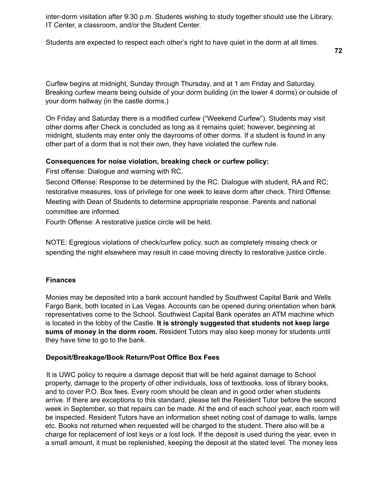inter-dorm visitation after 9:30 p.m. Students wishing to study together should use the Library, IT Center, a classroom, and/or the Student Center.

Students are expected to respect each other's right to have quiet in the dorm at all times.

**72**

Curfew begins at midnight, Sunday through Thursday, and at 1 am Friday and Saturday. Breaking curfew means being outside of your dorm building (in the lower 4 dorms) or outside of your dorm hallway (in the castle dorms.)

On Friday and Saturday there is a modified curfew ("Weekend Curfew"). Students may visit other dorms after Check is concluded as long as it remains quiet; however, beginning at midnight, students may enter only the dayrooms of other dorms. If a student is found in any other part of a dorm that is not their own, they have violated the curfew rule.

### **Consequences for noise violation, breaking check or curfew policy:**

First offense: Dialogue and warning with RC.

Second Offense: Response to be determined by the RC. Dialogue with student, RA and RC; restorative measures, loss of privilege for one week to leave dorm after check. Third Offense: Meeting with Dean of Students to determine appropriate response. Parents and national committee are informed.

Fourth Offense: A restorative justice circle will be held.

NOTE: Egregious violations of check/curfew policy, such as completely missing check or spending the night elsewhere may result in case moving directly to restorative justice circle.

### **Finances**

Monies may be deposited into a bank account handled by Southwest Capital Bank and Wells Fargo Bank, both located in Las Vegas. Accounts can be opened during orientation when bank representatives come to the School. Southwest Capital Bank operates an ATM machine which is located in the lobby of the Castle. **It is strongly suggested that students not keep large sums of money in the dorm room.** Resident Tutors may also keep money for students until they have time to go to the bank.

### **Deposit/Breakage/Book Return/Post Office Box Fees**

It is UWC policy to require a damage deposit that will be held against damage to School property, damage to the property of other individuals, loss of textbooks, loss of library books, and to cover P.O. Box fees. Every room should be clean and in good order when students arrive. If there are exceptions to this standard, please tell the Resident Tutor before the second week in September, so that repairs can be made. At the end of each school year, each room will be inspected. Resident Tutors have an information sheet noting cost of damage to walls, lamps etc. Books not returned when requested will be charged to the student. There also will be a charge for replacement of lost keys or a lost lock. If the deposit is used during the year, even in a small amount, it must be replenished, keeping the deposit at the stated level. The money less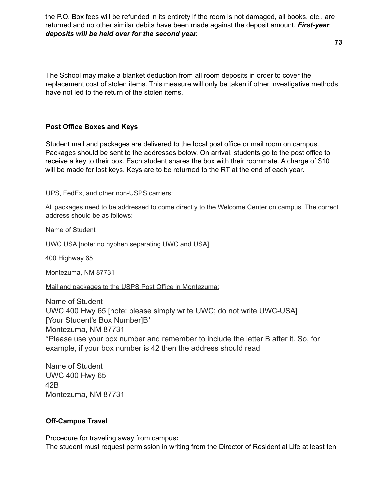the P.O. Box fees will be refunded in its entirety if the room is not damaged, all books, etc., are returned and no other similar debits have been made against the deposit amount. *First-year deposits will be held over for the second year.*

**73**

The School may make a blanket deduction from all room deposits in order to cover the replacement cost of stolen items. This measure will only be taken if other investigative methods have not led to the return of the stolen items.

### **Post Office Boxes and Keys**

Student mail and packages are delivered to the local post office or mail room on campus. Packages should be sent to the addresses below. On arrival, students go to the post office to receive a key to their box. Each student shares the box with their roommate. A charge of \$10 will be made for lost keys. Keys are to be returned to the RT at the end of each year.

### UPS, FedEx, and other non-USPS carriers:

All packages need to be addressed to come directly to the Welcome Center on campus. The correct address should be as follows:

Name of Student

UWC USA [note: no hyphen separating UWC and USA]

400 Highway 65

Montezuma, NM 87731

Mail and packages to the USPS Post Office in Montezuma:

Name of Student UWC 400 Hwy 65 [note: please simply write UWC; do not write UWC-USA] [Your Student's Box Number]B\* Montezuma, NM 87731 \*Please use your box number and remember to include the letter B after it. So, for example, if your box number is 42 then the address should read

Name of Student UWC 400 Hwy 65 42B Montezuma, NM 87731

## **Off-Campus Travel**

Procedure for traveling away from campus**:** The student must request permission in writing from the Director of Residential Life at least ten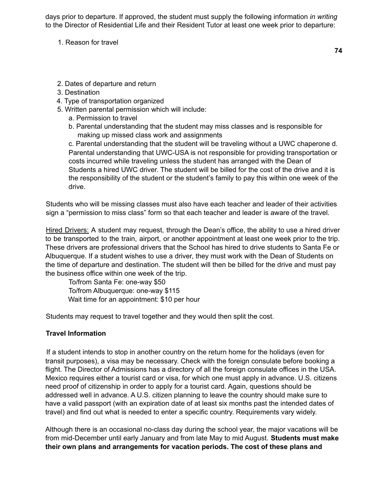days prior to departure. If approved, the student must supply the following information *in writing* to the Director of Residential Life and their Resident Tutor at least one week prior to departure:

1. Reason for travel

**74**

- 2. Dates of departure and return
- 3. Destination
- 4. Type of transportation organized
- 5. Written parental permission which will include:
	- a. Permission to travel
	- b. Parental understanding that the student may miss classes and is responsible for making up missed class work and assignments

c. Parental understanding that the student will be traveling without a UWC chaperone d. Parental understanding that UWC-USA is not responsible for providing transportation or costs incurred while traveling unless the student has arranged with the Dean of Students a hired UWC driver. The student will be billed for the cost of the drive and it is the responsibility of the student or the student's family to pay this within one week of the drive.

Students who will be missing classes must also have each teacher and leader of their activities sign a "permission to miss class" form so that each teacher and leader is aware of the travel.

Hired Drivers: A student may request, through the Dean's office, the ability to use a hired driver to be transported to the train, airport, or another appointment at least one week prior to the trip. These drivers are professional drivers that the School has hired to drive students to Santa Fe or Albuquerque. If a student wishes to use a driver, they must work with the Dean of Students on the time of departure and destination. The student will then be billed for the drive and must pay the business office within one week of the trip.

To/from Santa Fe: one-way \$50 To/from Albuquerque: one-way \$115 Wait time for an appointment: \$10 per hour

Students may request to travel together and they would then split the cost.

# **Travel Information**

If a student intends to stop in another country on the return home for the holidays (even for transit purposes), a visa may be necessary. Check with the foreign consulate before booking a flight. The Director of Admissions has a directory of all the foreign consulate offices in the USA. Mexico requires either a tourist card or visa, for which one must apply in advance. U.S. citizens need proof of citizenship in order to apply for a tourist card. Again, questions should be addressed well in advance. A U.S. citizen planning to leave the country should make sure to have a valid passport (with an expiration date of at least six months past the intended dates of travel) and find out what is needed to enter a specific country. Requirements vary widely.

Although there is an occasional no-class day during the school year, the major vacations will be from mid-December until early January and from late May to mid August. **Students must make their own plans and arrangements for vacation periods. The cost of these plans and**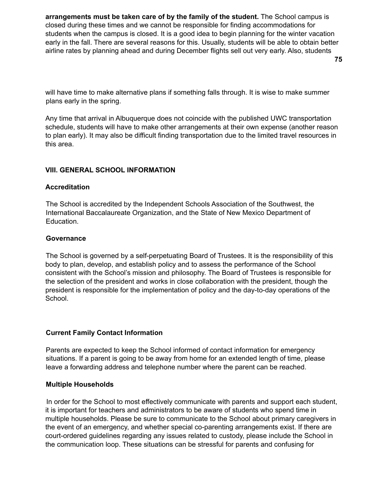**arrangements must be taken care of by the family of the student.** The School campus is closed during these times and we cannot be responsible for finding accommodations for students when the campus is closed. It is a good idea to begin planning for the winter vacation early in the fall. There are several reasons for this. Usually, students will be able to obtain better airline rates by planning ahead and during December flights sell out very early. Also, students

will have time to make alternative plans if something falls through. It is wise to make summer plans early in the spring.

Any time that arrival in Albuquerque does not coincide with the published UWC transportation schedule, students will have to make other arrangements at their own expense (another reason to plan early). It may also be difficult finding transportation due to the limited travel resources in this area.

# **VIII. GENERAL SCHOOL INFORMATION**

### **Accreditation**

The School is accredited by the Independent Schools Association of the Southwest, the International Baccalaureate Organization, and the State of New Mexico Department of Education.

#### **Governance**

The School is governed by a self-perpetuating Board of Trustees. It is the responsibility of this body to plan, develop, and establish policy and to assess the performance of the School consistent with the School's mission and philosophy. The Board of Trustees is responsible for the selection of the president and works in close collaboration with the president, though the president is responsible for the implementation of policy and the day-to-day operations of the School.

### **Current Family Contact Information**

Parents are expected to keep the School informed of contact information for emergency situations. If a parent is going to be away from home for an extended length of time, please leave a forwarding address and telephone number where the parent can be reached.

#### **Multiple Households**

In order for the School to most effectively communicate with parents and support each student, it is important for teachers and administrators to be aware of students who spend time in multiple households. Please be sure to communicate to the School about primary caregivers in the event of an emergency, and whether special co-parenting arrangements exist. If there are court-ordered guidelines regarding any issues related to custody, please include the School in the communication loop. These situations can be stressful for parents and confusing for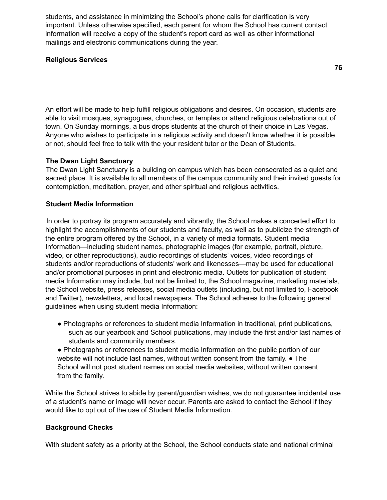students, and assistance in minimizing the School's phone calls for clarification is very important. Unless otherwise specified, each parent for whom the School has current contact information will receive a copy of the student's report card as well as other informational mailings and electronic communications during the year.

# **Religious Services**

An effort will be made to help fulfill religious obligations and desires. On occasion, students are able to visit mosques, synagogues, churches, or temples or attend religious celebrations out of town. On Sunday mornings, a bus drops students at the church of their choice in Las Vegas. Anyone who wishes to participate in a religious activity and doesn't know whether it is possible or not, should feel free to talk with the your resident tutor or the Dean of Students.

# **The Dwan Light Sanctuary**

The Dwan Light Sanctuary is a building on campus which has been consecrated as a quiet and sacred place. It is available to all members of the campus community and their invited guests for contemplation, meditation, prayer, and other spiritual and religious activities.

# **Student Media Information**

In order to portray its program accurately and vibrantly, the School makes a concerted effort to highlight the accomplishments of our students and faculty, as well as to publicize the strength of the entire program offered by the School, in a variety of media formats. Student media Information—including student names, photographic images (for example, portrait, picture, video, or other reproductions), audio recordings of students' voices, video recordings of students and/or reproductions of students' work and likenesses—may be used for educational and/or promotional purposes in print and electronic media. Outlets for publication of student media Information may include, but not be limited to, the School magazine, marketing materials, the School website, press releases, social media outlets (including, but not limited to, Facebook and Twitter), newsletters, and local newspapers. The School adheres to the following general guidelines when using student media Information:

- Photographs or references to student media Information in traditional, print publications, such as our yearbook and School publications, may include the first and/or last names of students and community members.
- Photographs or references to student media Information on the public portion of our website will not include last names, without written consent from the family. • The School will not post student names on social media websites, without written consent from the family.

While the School strives to abide by parent/guardian wishes, we do not guarantee incidental use of a student's name or image will never occur. Parents are asked to contact the School if they would like to opt out of the use of Student Media Information.

### **Background Checks**

With student safety as a priority at the School, the School conducts state and national criminal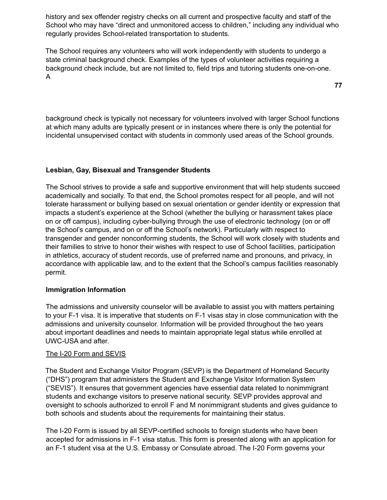history and sex offender registry checks on all current and prospective faculty and staff of the School who may have "direct and unmonitored access to children," including any individual who regularly provides School-related transportation to students.

The School requires any volunteers who will work independently with students to undergo a state criminal background check. Examples of the types of volunteer activities requiring a background check include, but are not limited to, field trips and tutoring students one-on-one. A

background check is typically not necessary for volunteers involved with larger School functions at which many adults are typically present or in instances where there is only the potential for incidental unsupervised contact with students in commonly used areas of the School grounds.

# **Lesbian, Gay, Bisexual and Transgender Students**

The School strives to provide a safe and supportive environment that will help students succeed academically and socially. To that end, the School promotes respect for all people, and will not tolerate harassment or bullying based on sexual orientation or gender identity or expression that impacts a student's experience at the School (whether the bullying or harassment takes place on or off campus), including cyber-bullying through the use of electronic technology (on or off the School's campus, and on or off the School's network). Particularly with respect to transgender and gender nonconforming students, the School will work closely with students and their families to strive to honor their wishes with respect to use of School facilities, participation in athletics, accuracy of student records, use of preferred name and pronouns, and privacy, in accordance with applicable law, and to the extent that the School's campus facilities reasonably permit.

### **Immigration Information**

The admissions and university counselor will be available to assist you with matters pertaining to your F-1 visa. It is imperative that students on F-1 visas stay in close communication with the admissions and university counselor. Information will be provided throughout the two years about important deadlines and needs to maintain appropriate legal status while enrolled at UWC-USA and after.

### The I-20 Form and SEVIS

The Student and Exchange Visitor Program (SEVP) is the Department of Homeland Security ("DHS") program that administers the Student and Exchange Visitor Information System ("SEVIS"). It ensures that government agencies have essential data related to nonimmigrant students and exchange visitors to preserve national security. SEVP provides approval and oversight to schools authorized to enroll F and M nonimmigrant students and gives guidance to both schools and students about the requirements for maintaining their status.

The I-20 Form is issued by all SEVP-certified schools to foreign students who have been accepted for admissions in F-1 visa status. This form is presented along with an application for an F-1 student visa at the U.S. Embassy or Consulate abroad. The I-20 Form governs your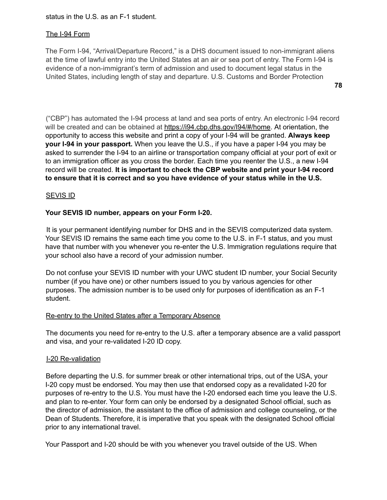status in the U.S. as an F-1 student.

### The I-94 Form

The Form I-94, "Arrival/Departure Record," is a DHS document issued to non-immigrant aliens at the time of lawful entry into the United States at an air or sea port of entry. The Form I-94 is evidence of a non-immigrant's term of admission and used to document legal status in the United States, including length of stay and departure. U.S. Customs and Border Protection

**78**

("CBP") has automated the I-94 process at land and sea ports of entry. An electronic I-94 record will be created and can be obtained at https://i94.cbp.dhs.gov/I94/#/home. At orientation, the opportunity to access this website and print a copy of your I-94 will be granted. **Always keep your I-94 in your passport.** When you leave the U.S., if you have a paper I-94 you may be asked to surrender the I-94 to an airline or transportation company official at your port of exit or to an immigration officer as you cross the border. Each time you reenter the U.S., a new I-94 record will be created. **It is important to check the CBP website and print your I-94 record to ensure that it is correct and so you have evidence of your status while in the U.S.**

#### SEVIS ID

### **Your SEVIS ID number, appears on your Form I-20.**

It is your permanent identifying number for DHS and in the SEVIS computerized data system. Your SEVIS ID remains the same each time you come to the U.S. in F-1 status, and you must have that number with you whenever you re-enter the U.S. Immigration regulations require that your school also have a record of your admission number.

Do not confuse your SEVIS ID number with your UWC student ID number, your Social Security number (if you have one) or other numbers issued to you by various agencies for other purposes. The admission number is to be used only for purposes of identification as an F-1 student.

#### Re-entry to the United States after a Temporary Absence

The documents you need for re-entry to the U.S. after a temporary absence are a valid passport and visa, and your re-validated I-20 ID copy.

### I-20 Re-validation

Before departing the U.S. for summer break or other international trips, out of the USA, your I-20 copy must be endorsed. You may then use that endorsed copy as a revalidated I-20 for purposes of re-entry to the U.S. You must have the I-20 endorsed each time you leave the U.S. and plan to re-enter. Your form can only be endorsed by a designated School official, such as the director of admission, the assistant to the office of admission and college counseling, or the Dean of Students. Therefore, it is imperative that you speak with the designated School official prior to any international travel.

Your Passport and I-20 should be with you whenever you travel outside of the US. When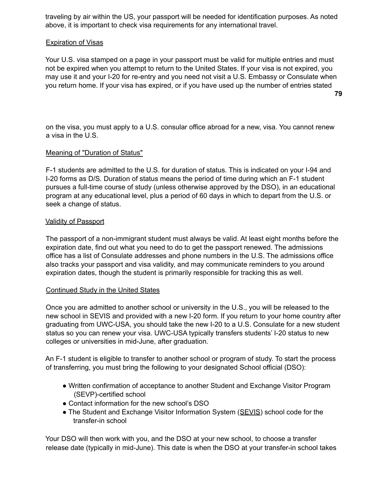traveling by air within the US, your passport will be needed for identification purposes. As noted above, it is important to check visa requirements for any international travel.

# Expiration of Visas

Your U.S. visa stamped on a page in your passport must be valid for multiple entries and must not be expired when you attempt to return to the United States. If your visa is not expired, you may use it and your I-20 for re-entry and you need not visit a U.S. Embassy or Consulate when you return home. If your visa has expired, or if you have used up the number of entries stated **79**

on the visa, you must apply to a U.S. consular office abroad for a new, visa. You cannot renew a visa in the U.S.

# Meaning of "Duration of Status"

F-1 students are admitted to the U.S. for duration of status. This is indicated on your I-94 and I-20 forms as D/S. Duration of status means the period of time during which an F-1 student pursues a full-time course of study (unless otherwise approved by the DSO), in an educational program at any educational level, plus a period of 60 days in which to depart from the U.S. or seek a change of status.

### Validity of Passport

The passport of a non-immigrant student must always be valid. At least eight months before the expiration date, find out what you need to do to get the passport renewed. The admissions office has a list of Consulate addresses and phone numbers in the U.S. The admissions office also tracks your passport and visa validity, and may communicate reminders to you around expiration dates, though the student is primarily responsible for tracking this as well.

### Continued Study in the United States

Once you are admitted to another school or university in the U.S., you will be released to the new school in SEVIS and provided with a new I-20 form. If you return to your home country after graduating from UWC-USA, you should take the new I-20 to a U.S. Consulate for a new student status so you can renew your visa. UWC-USA typically transfers students' I-20 status to new colleges or universities in mid-June, after graduation.

An F-1 student is eligible to transfer to another school or program of study. To start the process of transferring, you must bring the following to your designated School official (DSO):

- Written confirmation of acceptance to another Student and Exchange Visitor Program (SEVP)-certified school
- Contact information for the new school's DSO
- The Student and Exchange Visitor Information System (SEVIS) school code for the transfer-in school

Your DSO will then work with you, and the DSO at your new school, to choose a transfer release date (typically in mid-June). This date is when the DSO at your transfer-in school takes